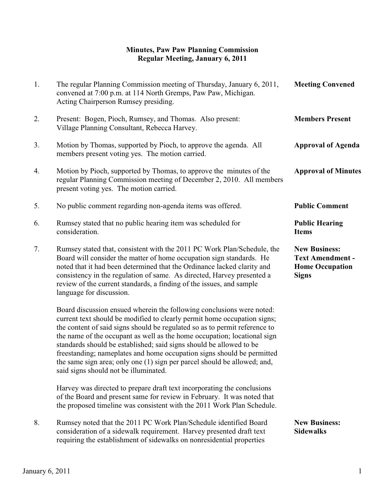# **Minutes, Paw Paw Planning Commission Regular Meeting, January 6, 2011**

| 1. | The regular Planning Commission meeting of Thursday, January 6, 2011,<br>convened at 7:00 p.m. at 114 North Gremps, Paw Paw, Michigan.<br>Acting Chairperson Rumsey presiding.                                                                                                                                                                                                                                                                                                                                                                                                    | <b>Meeting Convened</b>                                                                   |
|----|-----------------------------------------------------------------------------------------------------------------------------------------------------------------------------------------------------------------------------------------------------------------------------------------------------------------------------------------------------------------------------------------------------------------------------------------------------------------------------------------------------------------------------------------------------------------------------------|-------------------------------------------------------------------------------------------|
| 2. | Present: Bogen, Pioch, Rumsey, and Thomas. Also present:<br>Village Planning Consultant, Rebecca Harvey.                                                                                                                                                                                                                                                                                                                                                                                                                                                                          | <b>Members Present</b>                                                                    |
| 3. | Motion by Thomas, supported by Pioch, to approve the agenda. All<br>members present voting yes. The motion carried.                                                                                                                                                                                                                                                                                                                                                                                                                                                               | <b>Approval of Agenda</b>                                                                 |
| 4. | Motion by Pioch, supported by Thomas, to approve the minutes of the<br>regular Planning Commission meeting of December 2, 2010. All members<br>present voting yes. The motion carried.                                                                                                                                                                                                                                                                                                                                                                                            | <b>Approval of Minutes</b>                                                                |
| 5. | No public comment regarding non-agenda items was offered.                                                                                                                                                                                                                                                                                                                                                                                                                                                                                                                         | <b>Public Comment</b>                                                                     |
| 6. | Rumsey stated that no public hearing item was scheduled for<br>consideration.                                                                                                                                                                                                                                                                                                                                                                                                                                                                                                     | <b>Public Hearing</b><br><b>Items</b>                                                     |
| 7. | Rumsey stated that, consistent with the 2011 PC Work Plan/Schedule, the<br>Board will consider the matter of home occupation sign standards. He<br>noted that it had been determined that the Ordinance lacked clarity and<br>consistency in the regulation of same. As directed, Harvey presented a<br>review of the current standards, a finding of the issues, and sample<br>language for discussion.                                                                                                                                                                          | <b>New Business:</b><br><b>Text Amendment -</b><br><b>Home Occupation</b><br><b>Signs</b> |
|    | Board discussion ensued wherein the following conclusions were noted:<br>current text should be modified to clearly permit home occupation signs;<br>the content of said signs should be regulated so as to permit reference to<br>the name of the occupant as well as the home occupation; locational sign<br>standards should be established; said signs should be allowed to be<br>freestanding; nameplates and home occupation signs should be permitted<br>the same sign area; only one (1) sign per parcel should be allowed; and,<br>said signs should not be illuminated. |                                                                                           |
|    | Harvey was directed to prepare draft text incorporating the conclusions<br>of the Board and present same for review in February. It was noted that<br>the proposed timeline was consistent with the 2011 Work Plan Schedule.                                                                                                                                                                                                                                                                                                                                                      |                                                                                           |
| 8. | Rumsey noted that the 2011 PC Work Plan/Schedule identified Board<br>consideration of a sidewalk requirement. Harvey presented draft text<br>requiring the establishment of sidewalks on nonresidential properties                                                                                                                                                                                                                                                                                                                                                                | <b>New Business:</b><br><b>Sidewalks</b>                                                  |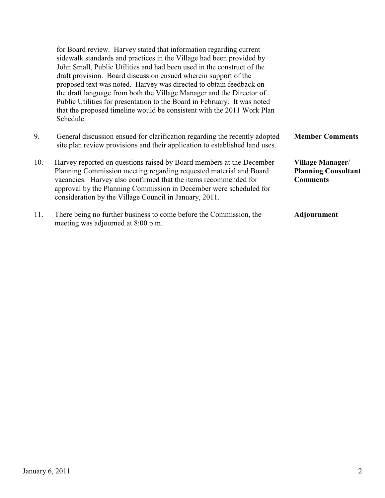|     | for Board review. Harvey stated that information regarding current<br>sidewalk standards and practices in the Village had been provided by<br>John Small, Public Utilities and had been used in the construct of the<br>draft provision. Board discussion ensued wherein support of the<br>proposed text was noted. Harvey was directed to obtain feedback on<br>the draft language from both the Village Manager and the Director of<br>Public Utilities for presentation to the Board in February. It was noted<br>that the proposed timeline would be consistent with the 2011 Work Plan<br>Schedule. |                                                                   |
|-----|----------------------------------------------------------------------------------------------------------------------------------------------------------------------------------------------------------------------------------------------------------------------------------------------------------------------------------------------------------------------------------------------------------------------------------------------------------------------------------------------------------------------------------------------------------------------------------------------------------|-------------------------------------------------------------------|
| 9.  | General discussion ensued for clarification regarding the recently adopted<br>site plan review provisions and their application to established land uses.                                                                                                                                                                                                                                                                                                                                                                                                                                                | <b>Member Comments</b>                                            |
| 10. | Harvey reported on questions raised by Board members at the December<br>Planning Commission meeting regarding requested material and Board<br>vacancies. Harvey also confirmed that the items recommended for<br>approval by the Planning Commission in December were scheduled for<br>consideration by the Village Council in January, 2011.                                                                                                                                                                                                                                                            | Village Manager/<br><b>Planning Consultant</b><br><b>Comments</b> |
| 11. | There being no further business to come before the Commission, the<br>meeting was adjourned at 8:00 p.m.                                                                                                                                                                                                                                                                                                                                                                                                                                                                                                 | Adjournment                                                       |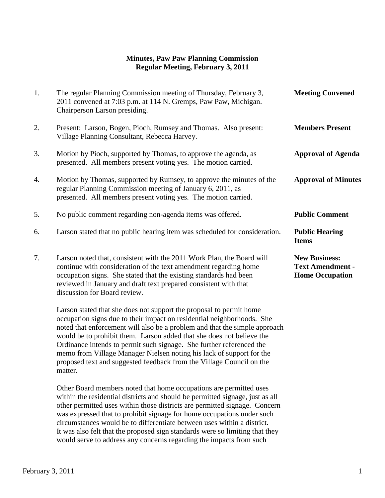### **Minutes, Paw Paw Planning Commission Regular Meeting, February 3, 2011**

| 1. | The regular Planning Commission meeting of Thursday, February 3,<br>2011 convened at 7:03 p.m. at 114 N. Gremps, Paw Paw, Michigan.<br>Chairperson Larson presiding.                                                                                                                                               | <b>Meeting Convened</b>                                                   |
|----|--------------------------------------------------------------------------------------------------------------------------------------------------------------------------------------------------------------------------------------------------------------------------------------------------------------------|---------------------------------------------------------------------------|
| 2. | Present: Larson, Bogen, Pioch, Rumsey and Thomas. Also present:<br>Village Planning Consultant, Rebecca Harvey.                                                                                                                                                                                                    | <b>Members Present</b>                                                    |
| 3. | Motion by Pioch, supported by Thomas, to approve the agenda, as<br>presented. All members present voting yes. The motion carried.                                                                                                                                                                                  | <b>Approval of Agenda</b>                                                 |
| 4. | Motion by Thomas, supported by Rumsey, to approve the minutes of the<br>regular Planning Commission meeting of January 6, 2011, as<br>presented. All members present voting yes. The motion carried.                                                                                                               | <b>Approval of Minutes</b>                                                |
| 5. | No public comment regarding non-agenda items was offered.                                                                                                                                                                                                                                                          | <b>Public Comment</b>                                                     |
| 6. | Larson stated that no public hearing item was scheduled for consideration.                                                                                                                                                                                                                                         | <b>Public Hearing</b><br><b>Items</b>                                     |
| 7. | Larson noted that, consistent with the 2011 Work Plan, the Board will<br>continue with consideration of the text amendment regarding home<br>occupation signs. She stated that the existing standards had been<br>reviewed in January and draft text prepared consistent with that<br>discussion for Board review. | <b>New Business:</b><br><b>Text Amendment -</b><br><b>Home Occupation</b> |
|    | Larson stated that she does not support the proposal to permit home                                                                                                                                                                                                                                                |                                                                           |

 occupation signs due to their impact on residential neighborhoods. She noted that enforcement will also be a problem and that the simple approach would be to prohibit them. Larson added that she does not believe the Ordinance intends to permit such signage. She further referenced the memo from Village Manager Nielsen noting his lack of support for the proposed text and suggested feedback from the Village Council on the matter.

 Other Board members noted that home occupations are permitted uses within the residential districts and should be permitted signage, just as all other permitted uses within those districts are permitted signage. Concern was expressed that to prohibit signage for home occupations under such circumstances would be to differentiate between uses within a district. It was also felt that the proposed sign standards were so limiting that they would serve to address any concerns regarding the impacts from such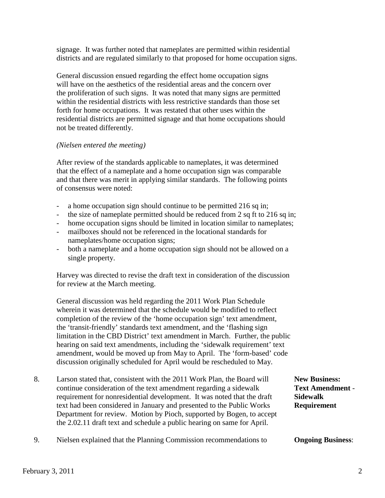signage. It was further noted that nameplates are permitted within residential districts and are regulated similarly to that proposed for home occupation signs.

 General discussion ensued regarding the effect home occupation signs will have on the aesthetics of the residential areas and the concern over the proliferation of such signs. It was noted that many signs are permitted within the residential districts with less restrictive standards than those set forth for home occupations. It was restated that other uses within the residential districts are permitted signage and that home occupations should not be treated differently.

#### *(Nielsen entered the meeting)*

 After review of the standards applicable to nameplates, it was determined that the effect of a nameplate and a home occupation sign was comparable and that there was merit in applying similar standards. The following points of consensus were noted:

- a home occupation sign should continue to be permitted 216 sq in;
- the size of nameplate permitted should be reduced from 2 sq ft to 216 sq in;
- home occupation signs should be limited in location similar to nameplates;
- mailboxes should not be referenced in the locational standards for nameplates/home occupation signs;
- both a nameplate and a home occupation sign should not be allowed on a single property.

Harvey was directed to revise the draft text in consideration of the discussion for review at the March meeting.

General discussion was held regarding the 2011 Work Plan Schedule wherein it was determined that the schedule would be modified to reflect completion of the review of the 'home occupation sign' text amendment, the 'transit-friendly' standards text amendment, and the 'flashing sign limitation in the CBD District' text amendment in March. Further, the public hearing on said text amendments, including the 'sidewalk requirement' text amendment, would be moved up from May to April. The 'form-based' code discussion originally scheduled for April would be rescheduled to May.

- 8. Larson stated that, consistent with the 2011 Work Plan, the Board will **New Business:** continue consideration of the text amendment regarding a sidewalk **Text Amendment** requirement for nonresidential development. It was noted that the draft **Sidewalk** text had been considered in January and presented to the Public Works **Requirement** Department for review. Motion by Pioch, supported by Bogen, to accept the 2.02.11 draft text and schedule a public hearing on same for April.
- 9. Nielsen explained that the Planning Commission recommendations to **Ongoing Business**: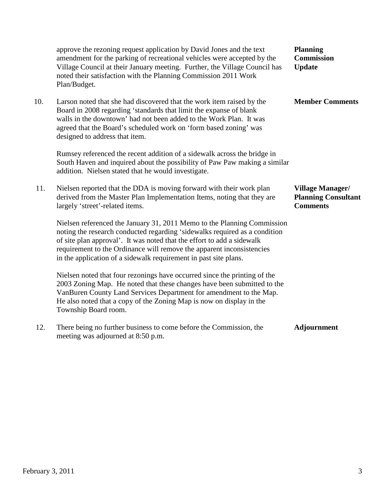|     | approve the rezoning request application by David Jones and the text<br>amendment for the parking of recreational vehicles were accepted by the<br>Village Council at their January meeting. Further, the Village Council has<br>noted their satisfaction with the Planning Commission 2011 Work<br>Plan/Budget.                                                             | <b>Planning</b><br><b>Commission</b><br><b>Update</b>                    |
|-----|------------------------------------------------------------------------------------------------------------------------------------------------------------------------------------------------------------------------------------------------------------------------------------------------------------------------------------------------------------------------------|--------------------------------------------------------------------------|
| 10. | Larson noted that she had discovered that the work item raised by the<br>Board in 2008 regarding 'standards that limit the expanse of blank<br>walls in the downtown' had not been added to the Work Plan. It was<br>agreed that the Board's scheduled work on 'form based zoning' was<br>designed to address that item.                                                     | <b>Member Comments</b>                                                   |
|     | Rumsey referenced the recent addition of a sidewalk across the bridge in<br>South Haven and inquired about the possibility of Paw Paw making a similar<br>addition. Nielsen stated that he would investigate.                                                                                                                                                                |                                                                          |
| 11. | Nielsen reported that the DDA is moving forward with their work plan<br>derived from the Master Plan Implementation Items, noting that they are<br>largely 'street'-related items.                                                                                                                                                                                           | <b>Village Manager/</b><br><b>Planning Consultant</b><br><b>Comments</b> |
|     | Nielsen referenced the January 31, 2011 Memo to the Planning Commission<br>noting the research conducted regarding 'sidewalks required as a condition<br>of site plan approval'. It was noted that the effort to add a sidewalk<br>requirement to the Ordinance will remove the apparent inconsistencies<br>in the application of a sidewalk requirement in past site plans. |                                                                          |
|     | Nielsen noted that four rezonings have occurred since the printing of the<br>2003 Zoning Map. He noted that these changes have been submitted to the<br>VanBuren County Land Services Department for amendment to the Map.<br>He also noted that a copy of the Zoning Map is now on display in the<br>Township Board room.                                                   |                                                                          |
| 12. | There being no further business to come before the Commission, the<br>meeting was adjourned at 8:50 p.m.                                                                                                                                                                                                                                                                     | <b>Adjournment</b>                                                       |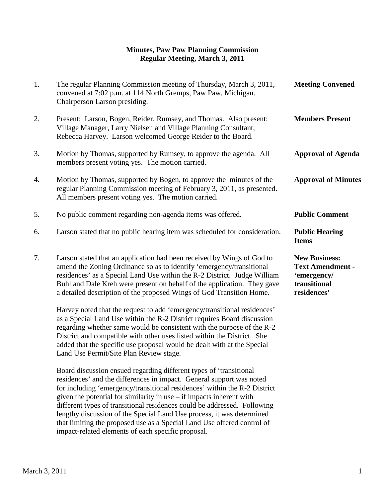#### **Minutes, Paw Paw Planning Commission Regular Meeting, March 3, 2011**

| 1. | The regular Planning Commission meeting of Thursday, March 3, 2011,<br>convened at 7:02 p.m. at 114 North Gremps, Paw Paw, Michigan.<br>Chairperson Larson presiding.                                                                                                                                                                                                                                                          | <b>Meeting Convened</b>                                                                       |
|----|--------------------------------------------------------------------------------------------------------------------------------------------------------------------------------------------------------------------------------------------------------------------------------------------------------------------------------------------------------------------------------------------------------------------------------|-----------------------------------------------------------------------------------------------|
| 2. | Present: Larson, Bogen, Reider, Rumsey, and Thomas. Also present:<br>Village Manager, Larry Nielsen and Village Planning Consultant,<br>Rebecca Harvey. Larson welcomed George Reider to the Board.                                                                                                                                                                                                                            | <b>Members Present</b>                                                                        |
| 3. | Motion by Thomas, supported by Rumsey, to approve the agenda. All<br>members present voting yes. The motion carried.                                                                                                                                                                                                                                                                                                           | <b>Approval of Agenda</b>                                                                     |
| 4. | Motion by Thomas, supported by Bogen, to approve the minutes of the<br>regular Planning Commission meeting of February 3, 2011, as presented.<br>All members present voting yes. The motion carried.                                                                                                                                                                                                                           | <b>Approval of Minutes</b>                                                                    |
| 5. | No public comment regarding non-agenda items was offered.                                                                                                                                                                                                                                                                                                                                                                      | <b>Public Comment</b>                                                                         |
| 6. | Larson stated that no public hearing item was scheduled for consideration.                                                                                                                                                                                                                                                                                                                                                     | <b>Public Hearing</b><br><b>Items</b>                                                         |
| 7. | Larson stated that an application had been received by Wings of God to<br>amend the Zoning Ordinance so as to identify 'emergency/transitional<br>residences' as a Special Land Use within the R-2 District. Judge William<br>Buhl and Dale Kreh were present on behalf of the application. They gave<br>a detailed description of the proposed Wings of God Transition Home.                                                  | <b>New Business:</b><br><b>Text Amendment -</b><br>'emergency/<br>transitional<br>residences' |
|    | Harvey noted that the request to add 'emergency/transitional residences'<br>as a Special Land Use within the R-2 District requires Board discussion<br>regarding whether same would be consistent with the purpose of the R-2<br>District and compatible with other uses listed within the District. She<br>added that the specific use proposal would be dealt with at the Special<br>Land Use Permit/Site Plan Review stage. |                                                                                               |
|    | Board discussion ensued regarding different types of 'transitional<br>residences' and the differences in impact. General support was noted<br>for including 'emergency/transitional residences' within the R-2 District<br>given the potential for similarity in use - if impacts inherent with                                                                                                                                |                                                                                               |

different types of transitional residences could be addressed. Following lengthy discussion of the Special Land Use process, it was determined that limiting the proposed use as a Special Land Use offered control of

impact-related elements of each specific proposal.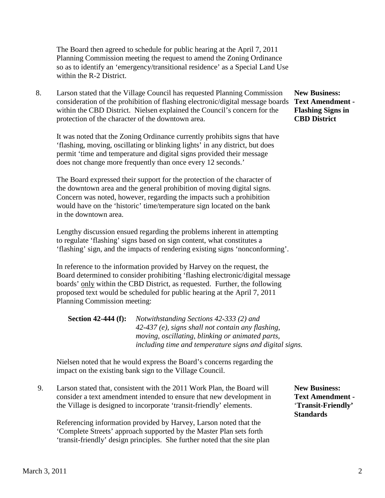The Board then agreed to schedule for public hearing at the April 7, 2011 Planning Commission meeting the request to amend the Zoning Ordinance so as to identify an 'emergency/transitional residence' as a Special Land Use within the R-2 District.

8. Larson stated that the Village Council has requested Planning Commission **New Business:** consideration of the prohibition of flashing electronic/digital message boards **Text Amendment**  within the CBD District. Nielsen explained the Council's concern for the **Flashing Signs in** protection of the character of the downtown area. **CBD District**

It was noted that the Zoning Ordinance currently prohibits signs that have 'flashing, moving, oscillating or blinking lights' in any district, but does permit 'time and temperature and digital signs provided their message does not change more frequently than once every 12 seconds.'

The Board expressed their support for the protection of the character of the downtown area and the general prohibition of moving digital signs. Concern was noted, however, regarding the impacts such a prohibition would have on the 'historic' time/temperature sign located on the bank in the downtown area.

Lengthy discussion ensued regarding the problems inherent in attempting to regulate 'flashing' signs based on sign content, what constitutes a 'flashing' sign, and the impacts of rendering existing signs 'nonconforming'.

In reference to the information provided by Harvey on the request, the Board determined to consider prohibiting 'flashing electronic/digital message boards' only within the CBD District, as requested. Further, the following proposed text would be scheduled for public hearing at the April 7, 2011 Planning Commission meeting:

| <b>Section 42-444 (f):</b> | Notwithstanding Sections 42-333 (2) and                 |
|----------------------------|---------------------------------------------------------|
|                            | $42-437$ (e), signs shall not contain any flashing,     |
|                            | moving, oscillating, blinking or animated parts,        |
|                            | including time and temperature signs and digital signs. |

Nielsen noted that he would express the Board's concerns regarding the impact on the existing bank sign to the Village Council.

 9. Larson stated that, consistent with the 2011 Work Plan, the Board will **New Business:** consider a text amendment intended to ensure that new development in **Text Amendment**  the Village is designed to incorporate 'transit-friendly' elements. '**Transit-Friendly'**

 Referencing information provided by Harvey, Larson noted that the 'Complete Streets' approach supported by the Master Plan sets forth 'transit-friendly' design principles. She further noted that the site plan **Standards**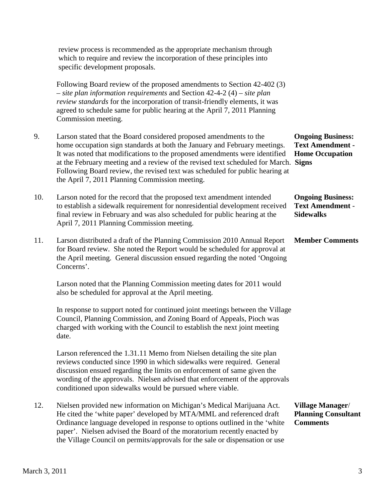review process is recommended as the appropriate mechanism through which to require and review the incorporation of these principles into specific development proposals. Following Board review of the proposed amendments to Section 42-402 (3) – *site plan information requirements* and Section 42-4-2 (4) – *site plan review standards* for the incorporation of transit-friendly elements, it was agreed to schedule same for public hearing at the April 7, 2011 Planning Commission meeting. 9. Larson stated that the Board considered proposed amendments to the **Ongoing Business:** home occupation sign standards at both the January and February meetings. **Text Amendment -** It was noted that modifications to the proposed amendments were identified **Home Occupation** at the February meeting and a review of the revised text scheduled for March. **Signs** Following Board review, the revised text was scheduled for public hearing at the April 7, 2011 Planning Commission meeting. 10. Larson noted for the record that the proposed text amendment intended **Ongoing Business:** to establish a sidewalk requirement for nonresidential development received **Text Amendment** final review in February and was also scheduled for public hearing at the **Sidewalks** April 7, 2011 Planning Commission meeting. 11. Larson distributed a draft of the Planning Commission 2010 Annual Report **Member Comments** for Board review. She noted the Report would be scheduled for approval at the April meeting. General discussion ensued regarding the noted 'Ongoing Concerns'. Larson noted that the Planning Commission meeting dates for 2011 would also be scheduled for approval at the April meeting. In response to support noted for continued joint meetings between the Village Council, Planning Commission, and Zoning Board of Appeals, Pioch was charged with working with the Council to establish the next joint meeting date. Larson referenced the 1.31.11 Memo from Nielsen detailing the site plan reviews conducted since 1990 in which sidewalks were required. General discussion ensued regarding the limits on enforcement of same given the wording of the approvals. Nielsen advised that enforcement of the approvals conditioned upon sidewalks would be pursued where viable. 12. Nielsen provided new information on Michigan's Medical Marijuana Act. **Village Manager**/ He cited the 'white paper' developed by MTA/MML and referenced draft **Planning Consultant** Ordinance language developed in response to options outlined in the 'white **Comments** paper'. Nielsen advised the Board of the moratorium recently enacted by the Village Council on permits/approvals for the sale or dispensation or use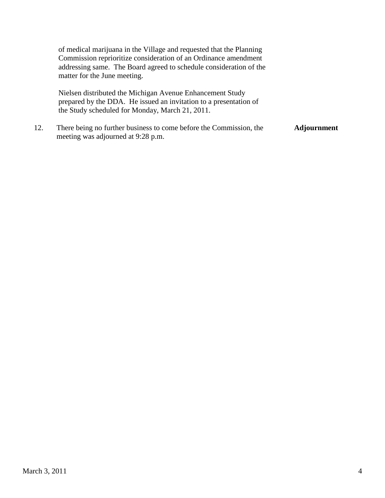of medical marijuana in the Village and requested that the Planning Commission reprioritize consideration of an Ordinance amendment addressing same. The Board agreed to schedule consideration of the matter for the June meeting.

 Nielsen distributed the Michigan Avenue Enhancement Study prepared by the DDA. He issued an invitation to a presentation of the Study scheduled for Monday, March 21, 2011.

12. There being no further business to come before the Commission, the **Adjournment** meeting was adjourned at 9:28 p.m.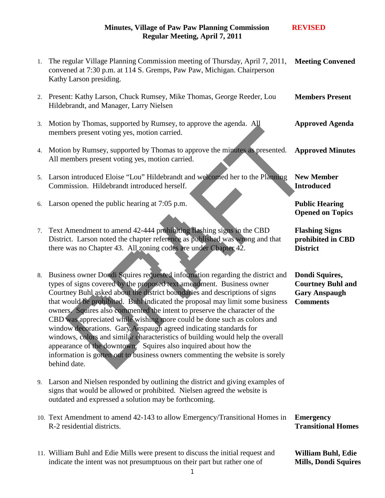| 1. | The regular Village Planning Commission meeting of Thursday, April 7, 2011,<br>convened at 7:30 p.m. at 114 S. Gremps, Paw Paw, Michigan. Chairperson<br>Kathy Larson presiding.                                                                                                                                                                                                                                                                                                                                                                                                                                                                                                                                                                                                                           | <b>Meeting Convened</b>                                                               |
|----|------------------------------------------------------------------------------------------------------------------------------------------------------------------------------------------------------------------------------------------------------------------------------------------------------------------------------------------------------------------------------------------------------------------------------------------------------------------------------------------------------------------------------------------------------------------------------------------------------------------------------------------------------------------------------------------------------------------------------------------------------------------------------------------------------------|---------------------------------------------------------------------------------------|
| 2. | Present: Kathy Larson, Chuck Rumsey, Mike Thomas, George Reeder, Lou<br>Hildebrandt, and Manager, Larry Nielsen                                                                                                                                                                                                                                                                                                                                                                                                                                                                                                                                                                                                                                                                                            | <b>Members Present</b>                                                                |
| 3. | Motion by Thomas, supported by Rumsey, to approve the agenda. All<br>members present voting yes, motion carried.                                                                                                                                                                                                                                                                                                                                                                                                                                                                                                                                                                                                                                                                                           | <b>Approved Agenda</b>                                                                |
| 4. | Motion by Rumsey, supported by Thomas to approve the minutes as presented.<br>All members present voting yes, motion carried.                                                                                                                                                                                                                                                                                                                                                                                                                                                                                                                                                                                                                                                                              | <b>Approved Minutes</b>                                                               |
| 5. | Larson introduced Eloise "Lou" Hildebrandt and welcomed her to the Planning<br>Commission. Hildebrandt introduced herself.                                                                                                                                                                                                                                                                                                                                                                                                                                                                                                                                                                                                                                                                                 | <b>New Member</b><br><b>Introduced</b>                                                |
| 6. | Larson opened the public hearing at 7:05 p.m.                                                                                                                                                                                                                                                                                                                                                                                                                                                                                                                                                                                                                                                                                                                                                              | <b>Public Hearing</b><br><b>Opened on Topics</b>                                      |
| 7. | Text Amendment to amend 42-444 prohibiting flashing signs in the CBD<br>District. Larson noted the chapter reference as published was wrong and that<br>there was no Chapter 43. All zoning codes are under Chapter 42.                                                                                                                                                                                                                                                                                                                                                                                                                                                                                                                                                                                    | <b>Flashing Signs</b><br>prohibited in CBD<br><b>District</b>                         |
| 8. | Business owner Dondi Squires requested information regarding the district and<br>types of signs covered by the proposed text amendment. Business owner<br>Courtney Buhl asked about the district boundaries and descriptions of signs<br>that would be prohibited. Buhl indicated the proposal may limit some business<br>owners. Squires also commented the intent to preserve the character of the<br>CBD was appreciated while wishing more could be done such as colors and<br>window decorations. Gary Anspaugh agreed indicating standards for<br>windows, colors and similar characteristics of building would help the overall<br>appearance of the downtown. Squires also inquired about how the<br>information is gotten out to business owners commenting the website is sorely<br>behind date. | Dondi Squires,<br><b>Courtney Buhl and</b><br><b>Gary Anspaugh</b><br><b>Comments</b> |
| 9. | Larson and Nielsen responded by outlining the district and giving examples of<br>signs that would be allowed or prohibited. Nielsen agreed the website is<br>outdated and expressed a solution may be forthcoming.                                                                                                                                                                                                                                                                                                                                                                                                                                                                                                                                                                                         |                                                                                       |
|    | 10. Text Amendment to amend 42-143 to allow Emergency/Transitional Homes in<br>R-2 residential districts.                                                                                                                                                                                                                                                                                                                                                                                                                                                                                                                                                                                                                                                                                                  | <b>Emergency</b><br><b>Transitional Homes</b>                                         |
|    | 11. William Buhl and Edie Mills were present to discuss the initial request and<br>indicate the intent was not presumptuous on their part but rather one of                                                                                                                                                                                                                                                                                                                                                                                                                                                                                                                                                                                                                                                | <b>William Buhl, Edie</b><br><b>Mills, Dondi Squires</b>                              |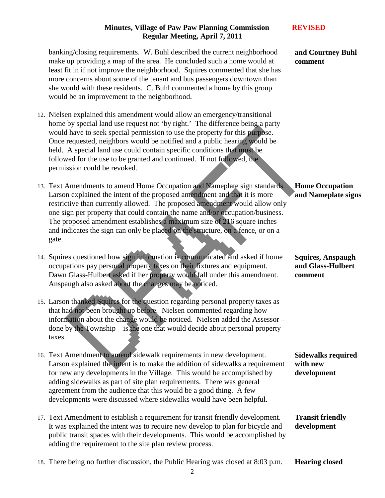banking/closing requirements. W. Buhl described the current neighborhood make up providing a map of the area. He concluded such a home would at least fit in if not improve the neighborhood. Squires commented that she has more concerns about some of the tenant and bus passengers downtown than she would with these residents. C. Buhl commented a home by this group would be an improvement to the neighborhood.

- 12. Nielsen explained this amendment would allow an emergency/transitional home by special land use request not 'by right.' The difference being a party would have to seek special permission to use the property for this purpose. Once requested, neighbors would be notified and a public hearing would be held. A special land use could contain specific conditions that must be followed for the use to be granted and continued. If not followed, the permission could be revoked.
- 13. Text Amendments to amend Home Occupation and Nameplate sign standards. Larson explained the intent of the proposed amendment and that it is more restrictive than currently allowed. The proposed amendment would allow only one sign per property that could contain the name and/or occupation/business. The proposed amendment establishes a maximum size of 216 square inches and indicates the sign can only be placed on the structure, on a fence, or on a gate.
- 14. Squires questioned how sign information is communicated and asked if home occupations pay personal property taxes on their fixtures and equipment. Dawn Glass-Hulbert asked if her property would fall under this amendment. Anspaugh also asked about the changes may be noticed.
- 15. Larson thanked Squires for the question regarding personal property taxes as that had not been brought up before. Nielsen commented regarding how information about the change would be noticed. Nielsen added the Assessor – done by the Township – is the one that would decide about personal property taxes.
- 16. Text Amendment to amend sidewalk requirements in new development. Larson explained the intent is to make the addition of sidewalks a requirement for new any developments in the Village. This would be accomplished by adding sidewalks as part of site plan requirements. There was general agreement from the audience that this would be a good thing. A few developments were discussed where sidewalks would have been helpful.
- 17. Text Amendment to establish a requirement for transit friendly development. It was explained the intent was to require new develop to plan for bicycle and public transit spaces with their developments. This would be accomplished by adding the requirement to the site plan review process. **Transit friendly development**
- 18. There being no further discussion, the Public Hearing was closed at 8:03 p.m. **Hearing closed**

**and Courtney Buhl comment**

**Home Occupation and Nameplate signs**

**Squires, Anspaugh and Glass-Hulbert comment**

**Sidewalks required with new development**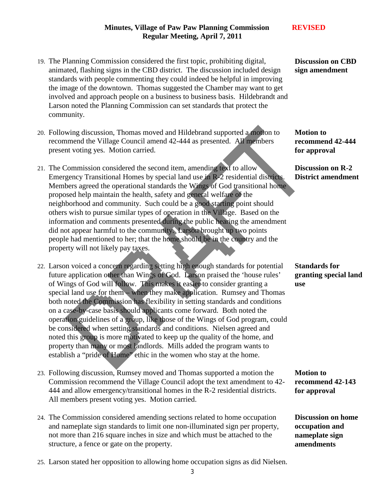- 19. The Planning Commission considered the first topic, prohibiting digital, animated, flashing signs in the CBD district. The discussion included design standards with people commenting they could indeed be helpful in improving the image of the downtown. Thomas suggested the Chamber may want to get involved and approach people on a business to business basis. Hildebrandt and Larson noted the Planning Commission can set standards that protect the community.
- 20. Following discussion, Thomas moved and Hildebrand supported a motion to recommend the Village Council amend 42-444 as presented. All members present voting yes. Motion carried.
- 21. The Commission considered the second item, amending text to allow Emergency Transitional Homes by special land use in R-2 residential districts. Members agreed the operational standards the Wings of God transitional home proposed help maintain the health, safety and general welfare of the neighborhood and community. Such could be a good starting point should others wish to pursue similar types of operation in the Village. Based on the information and comments presented during the public hearing the amendment did not appear harmful to the community. Larson brought up two points people had mentioned to her; that the home should be in the country and the property will not likely pay taxes.
- 22. Larson voiced a concern regarding setting high enough standards for potential future application other than Wings of God. Larson praised the 'house rules' of Wings of God will follow. This makes it easier to consider granting a special land use for them – when they make application. Rumsey and Thomas both noted the Commission has flexibility in setting standards and conditions on a case-by-case basis should applicants come forward. Both noted the operation guidelines of a group, like those of the Wings of God program, could be considered when setting standards and conditions. Nielsen agreed and noted this group is more motivated to keep up the quality of the home, and property than many or most landlords. Mills added the program wants to establish a "pride of Home" ethic in the women who stay at the home.
- 23. Following discussion, Rumsey moved and Thomas supported a motion the Commission recommend the Village Council adopt the text amendment to 42- 444 and allow emergency/transitional homes in the R-2 residential districts. All members present voting yes. Motion carried.
- 24. The Commission considered amending sections related to home occupation and nameplate sign standards to limit one non-illuminated sign per property, not more than 216 square inches in size and which must be attached to the structure, a fence or gate on the property.

**Discussion on CBD sign amendment**

**Motion to recommend 42-444 for approval** 

**Discussion on R-2 District amendment**

**Standards for granting special land use**

**Motion to recommend 42-143 for approval**

**Discussion on home occupation and nameplate sign amendments**

- 25. Larson stated her opposition to allowing home occupation signs as did Nielsen.
	- 3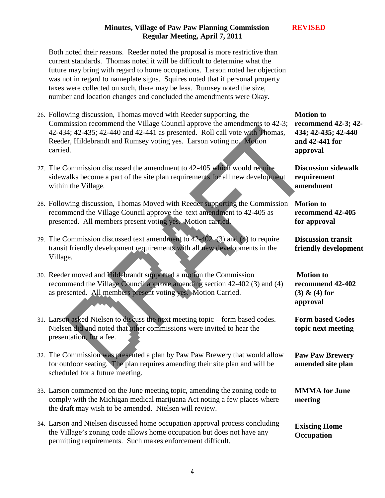Both noted their reasons. Reeder noted the proposal is more restrictive than current standards. Thomas noted it will be difficult to determine what the future may bring with regard to home occupations. Larson noted her objection was not in regard to nameplate signs. Squires noted that if personal property taxes were collected on such, there may be less. Rumsey noted the size, number and location changes and concluded the amendments were Okay.

- 26. Following discussion, Thomas moved with Reeder supporting, the Commission recommend the Village Council approve the amendments to 42-3; 42-434; 42-435; 42-440 and 42-441 as presented. Roll call vote with Thomas, Reeder, Hildebrandt and Rumsey voting yes. Larson voting no. Motion carried.
- 27. The Commission discussed the amendment to 42-405 which would require sidewalks become a part of the site plan requirements for all new development within the Village.
- 28. Following discussion, Thomas Moved with Reeder supporting the Commission recommend the Village Council approve the text amendment to 42-405 as presented. All members present voting yes. Motion carried.
- 29. The Commission discussed text amendment to 42-402 (3) and (4) to require transit friendly development requirements with all new developments in the Village.
- 30. Reeder moved and Hildebrandt supported a motion the Commission recommend the Village Council approve amending section 42-402 (3) and (4) as presented. All members present voting yes. Motion Carried.
- 31. Larson asked Nielsen to discuss the next meeting topic form based codes. Nielsen did and noted that other commissions were invited to hear the presentation, for a fee.
- 32. The Commission was presented a plan by Paw Paw Brewery that would allow for outdoor seating. The plan requires amending their site plan and will be scheduled for a future meeting.
- 33. Larson commented on the June meeting topic, amending the zoning code to comply with the Michigan medical marijuana Act noting a few places where the draft may wish to be amended. Nielsen will review.
- 34. Larson and Nielsen discussed home occupation approval process concluding the Village's zoning code allows home occupation but does not have any permitting requirements. Such makes enforcement difficult.

**Motion to recommend 42-3; 42- 434; 42-435; 42-440 and 42-441 for approval**

**Discussion sidewalk requirement amendment**

**Motion to recommend 42-405 for approval**

**Discussion transit friendly development**

**Motion to recommend 42-402 (3) & (4) for approval**

**Form based Codes topic next meeting**

**Paw Paw Brewery amended site plan**

**MMMA for June meeting**

**Existing Home Occupation**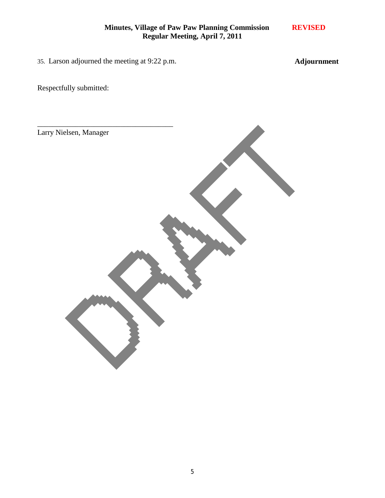35. Larson adjourned the meeting at 9:22 p.m.

**Adjournment**

Respectfully submitted:

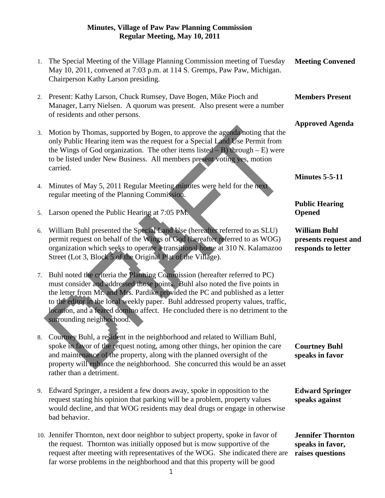| 1. | The Special Meeting of the Village Planning Commission meeting of Tuesday<br>May 10, 2011, convened at 7:03 p.m. at 114 S. Gremps, Paw Paw, Michigan.<br>Chairperson Kathy Larson presiding.                                                                                                                                                                                                                                                      | <b>Meeting Convened</b>                                           |
|----|---------------------------------------------------------------------------------------------------------------------------------------------------------------------------------------------------------------------------------------------------------------------------------------------------------------------------------------------------------------------------------------------------------------------------------------------------|-------------------------------------------------------------------|
| 2. | Present: Kathy Larson, Chuck Rumsey, Dave Bogen, Mike Pioch and<br>Manager, Larry Nielsen. A quorum was present. Also present were a number<br>of residents and other persons.                                                                                                                                                                                                                                                                    | <b>Members Present</b>                                            |
| 3. | Motion by Thomas, supported by Bogen, to approve the agenda noting that the<br>only Public Hearing item was the request for a Special Land Use Permit from<br>the Wings of God organization. The other items listed $-$ B) through $-$ E) were<br>to be listed under New Business. All members present voting yes, motion<br>carried.                                                                                                             | <b>Approved Agenda</b>                                            |
| 4. | Minutes of May 5, 2011 Regular Meeting minutes were held for the next<br>regular meeting of the Planning Commission.                                                                                                                                                                                                                                                                                                                              | <b>Minutes 5-5-11</b>                                             |
| 5. | Larson opened the Public Hearing at 7:05 PM.                                                                                                                                                                                                                                                                                                                                                                                                      | <b>Public Hearing</b><br><b>Opened</b>                            |
| 6. | William Buhl presented the Special Land Use (hereafter referred to as SLU)<br>permit request on behalf of the Wings of God (hereafter referred to as WOG)<br>organization which seeks to operate a transitional home at 310 N. Kalamazoo<br>Street (Lot 3, Block 5 of the Original Plat of the Village).                                                                                                                                          | <b>William Buhl</b><br>presents request and<br>responds to letter |
| 7. | Buhl noted the criteria the Planning Commission (hereafter referred to PC)<br>must consider and addressed those points. Buhl also noted the five points in<br>the letter from Mr. and Mrs. Pardike provided the PC and published as a letter<br>to the editor in the local weekly paper. Buhl addressed property values, traffic,<br>location, and a feared domino affect. He concluded there is no detriment to the<br>surrounding neighborhood. |                                                                   |
| 8. | Courtney Buhl, a resident in the neighborhood and related to William Buhl,<br>spoke in favor of the request noting, among other things, her opinion the care<br>and maintenance of the property, along with the planned oversight of the<br>property will enhance the neighborhood. She concurred this would be an asset<br>rather than a detriment.                                                                                              | <b>Courtney Buhl</b><br>speaks in favor                           |
| 9. | Edward Springer, a resident a few doors away, spoke in opposition to the<br>request stating his opinion that parking will be a problem, property values<br>would decline, and that WOG residents may deal drugs or engage in otherwise<br>bad behavior.                                                                                                                                                                                           | <b>Edward Springer</b><br>speaks against                          |
|    | 10. Jennifer Thornton, next door neighbor to subject property, spoke in favor of<br>the request. Thornton was initially opposed but is mow supportive of the<br>request after meeting with representatives of the WOG. She indicated there are<br>far worse problems in the neighborhood and that this property will be good                                                                                                                      | <b>Jennifer Thornton</b><br>speaks in favor,<br>raises questions  |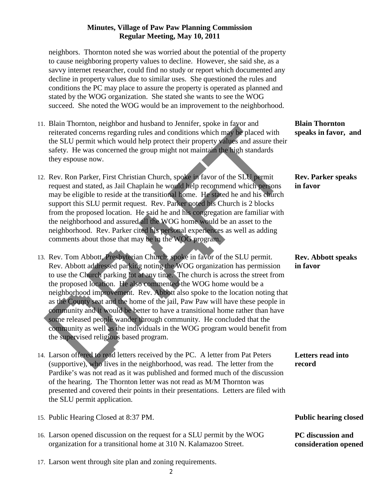neighbors. Thornton noted she was worried about the potential of the property to cause neighboring property values to decline. However, she said she, as a savvy internet researcher, could find no study or report which documented any decline in property values due to similar uses. She questioned the rules and conditions the PC may place to assure the property is operated as planned and stated by the WOG organization. She stated she wants to see the WOG succeed. She noted the WOG would be an improvement to the neighborhood.

- 11. Blain Thornton, neighbor and husband to Jennifer, spoke in favor and reiterated concerns regarding rules and conditions which may be placed with the SLU permit which would help protect their property values and assure their safety. He was concerned the group might not maintain the high standards they espouse now.
- 12. Rev. Ron Parker, First Christian Church, spoke in favor of the SLU permit request and stated, as Jail Chaplain he would help recommend which persons may be eligible to reside at the transitional home. He stated he and his church support this SLU permit request. Rev. Parker noted his Church is 2 blocks from the proposed location. He said he and his congregation are familiar with the neighborhood and assured all the WOG home would be an asset to the neighborhood. Rev. Parker cited his personal experiences as well as adding comments about those that may be in the WOG program.
- 13. Rev. Tom Abbott, Presbyterian Church, spoke in favor of the SLU permit. Rev. Abbott addressed parking noting the WOG organization has permission to use the Church parking lot at any time. The church is across the street from the proposed location. He also commented the WOG home would be a neighborhood improvement. Rev. Abbott also spoke to the location noting that as the County seat and the home of the jail, Paw Paw will have these people in community and it would be better to have a transitional home rather than have some released people wander through community. He concluded that the community as well as the individuals in the WOG program would benefit from the supervised religious based program.
- 14. Larson offered to read letters received by the PC. A letter from Pat Peters (supportive), who lives in the neighborhood, was read. The letter from the Pardike's was not read as it was published and formed much of the discussion of the hearing. The Thornton letter was not read as M/M Thornton was presented and covered their points in their presentations. Letters are filed with the SLU permit application.
- 15. Public Hearing Closed at 8:37 PM.
- 16. Larson opened discussion on the request for a SLU permit by the WOG organization for a transitional home at 310 N. Kalamazoo Street.
- 17. Larson went through site plan and zoning requirements.

**Blain Thornton speaks in favor, and** 

**Rev. Parker speaks in favor**

#### **Rev. Abbott speaks in favor**

**Letters read into record**

**Public hearing closed** 

**PC discussion and consideration opened**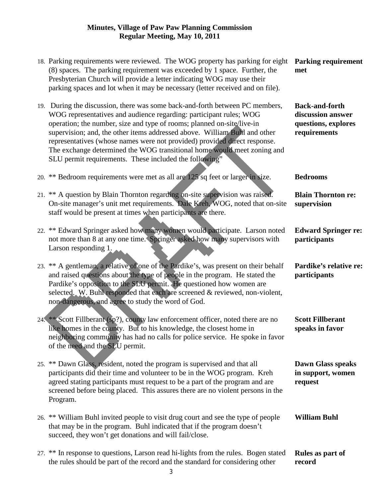| 18. Parking requirements were reviewed. The WOG property has parking for eight<br>(8) spaces. The parking requirement was exceeded by 1 space. Further, the<br>Presbyterian Church will provide a letter indicating WOG may use their<br>parking spaces and lot when it may be necessary (letter received and on file).                                                                                                                                                                                                     | <b>Parking requirement</b><br>met                                                 |
|-----------------------------------------------------------------------------------------------------------------------------------------------------------------------------------------------------------------------------------------------------------------------------------------------------------------------------------------------------------------------------------------------------------------------------------------------------------------------------------------------------------------------------|-----------------------------------------------------------------------------------|
| 19. During the discussion, there was some back-and-forth between PC members,<br>WOG representatives and audience regarding: participant rules; WOG<br>operation; the number, size and type of rooms; planned on-site/live-in<br>supervision; and, the other items addressed above. William Buhl and other<br>representatives (whose names were not provided) provided direct response.<br>The exchange determined the WOG transitional home would meet zoning and<br>SLU permit requirements. These included the following" | <b>Back-and-forth</b><br>discussion answer<br>questions, explores<br>requirements |
| 20. ** Bedroom requirements were met as all are 125 sq feet or larger in size.                                                                                                                                                                                                                                                                                                                                                                                                                                              | <b>Bedrooms</b>                                                                   |
| 21. ** A question by Blain Thornton regarding on-site supervision was raised.<br>On-site manager's unit met requirements. Dale Kreh, WOG, noted that on-site<br>staff would be present at times when participants are there.                                                                                                                                                                                                                                                                                                | <b>Blain Thornton re:</b><br>supervision                                          |
| 22. ** Edward Springer asked how many women would participate. Larson noted<br>not more than 8 at any one time. Springer asked how many supervisors with<br>Larson responding $1$ .                                                                                                                                                                                                                                                                                                                                         | <b>Edward Springer re:</b><br>participants                                        |
| 23. ** A gentleman, a relative of one of the Pardike's, was present on their behalf<br>and raised questions about the type of people in the program. He stated the<br>Pardike's opposition to the SLU permit. He questioned how women are<br>selected. W. Buhl responded that each are screened & reviewed, non-violent,<br>non-dangerous, and agree to study the word of God.                                                                                                                                              | Pardike's relative re:<br>participants                                            |
| 24. ** Scott Fillberant (sp?), county law enforcement officer, noted there are no<br>like homes in the county. But to his knowledge, the closest home in<br>neighboring community has had no calls for police service. He spoke in favor<br>of the need and the SLU permit.                                                                                                                                                                                                                                                 | <b>Scott Fillberant</b><br>speaks in favor                                        |
| 25. ** Dawn Glass, resident, noted the program is supervised and that all<br>participants did their time and volunteer to be in the WOG program. Kreh<br>agreed stating participants must request to be a part of the program and are<br>screened before being placed. This assures there are no violent persons in the<br>Program.                                                                                                                                                                                         | <b>Dawn Glass speaks</b><br>in support, women<br>request                          |
| 26. ** William Buhl invited people to visit drug court and see the type of people<br>that may be in the program. Buhl indicated that if the program doesn't<br>succeed, they won't get donations and will fail/close.                                                                                                                                                                                                                                                                                                       | <b>William Buhl</b>                                                               |
| 27. ** In response to questions, Larson read hi-lights from the rules. Bogen stated<br>the rules should be part of the record and the standard for considering other                                                                                                                                                                                                                                                                                                                                                        | Rules as part of<br>record                                                        |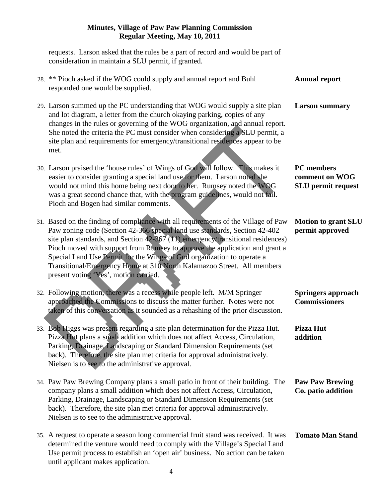requests. Larson asked that the rules be a part of record and would be part of consideration in maintain a SLU permit, if granted. 28. \*\* Pioch asked if the WOG could supply and annual report and Buhl responded one would be supplied. 29. Larson summed up the PC understanding that WOG would supply a site plan and lot diagram, a letter from the church okaying parking, copies of any changes in the rules or governing of the WOG organization, and annual report. She noted the criteria the PC must consider when considering a SLU permit, a site plan and requirements for emergency/transitional residences appear to be met. 30. Larson praised the 'house rules' of Wings of God will follow. This makes it easier to consider granting a special land use for them. Larson noted she would not mind this home being next door to her. Rumsey noted the WOG was a great second chance that, with the program guidelines, would not fail. Pioch and Bogen had similar comments. 31. Based on the finding of compliance with all requirements of the Village of Paw Paw zoning code (Section 42-366 special land use standards, Section 42-402 site plan standards, and Section 42-367 (11) emergency/transitional residences) Pioch moved with support from Rumsey to approve the application and grant a Special Land Use Permit for the Wings of God organization to operate a Transitional/Emergency Home at 310 North Kalamazoo Street. All members present voting 'Yes', motion carried. 32. Following motion, there was a recess while people left. M/M Springer approached the Commissions to discuss the matter further. Notes were not taken of this conversation as it sounded as a rehashing of the prior discussion. 33. Bob Higgs was present regarding a site plan determination for the Pizza Hut. Pizza Hut plans a small addition which does not affect Access, Circulation, Parking, Drainage, Landscaping or Standard Dimension Requirements (set back). Therefore, the site plan met criteria for approval administratively. Nielsen is to see to the administrative approval. 34. Paw Paw Brewing Company plans a small patio in front of their building. The company plans a small addition which does not affect Access, Circulation, Parking, Drainage, Landscaping or Standard Dimension Requirements (set back). Therefore, the site plan met criteria for approval administratively. Nielsen is to see to the administrative approval. 35. A request to operate a season long commercial fruit stand was received. It was determined the venture would need to comply with the Village's Special Land Use permit process to establish an 'open air' business. No action can be taken until applicant makes application. **Annual report Larson summary PC members comment on WOG SLU permit request Motion to grant SLU permit approved Springers approach Commissioners Pizza Hut addition Paw Paw Brewing Co. patio addition Tomato Man Stand**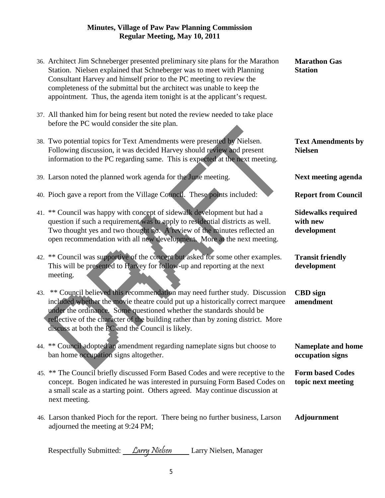- 36. Architect Jim Schneberger presented preliminary site plans for the Marathon Station. Nielsen explained that Schneberger was to meet with Planning Consultant Harvey and himself prior to the PC meeting to review the completeness of the submittal but the architect was unable to keep the appointment. Thus, the agenda item tonight is at the applicant's request.
- 37. All thanked him for being resent but noted the review needed to take place before the PC would consider the site plan.
- 38. Two potential topics for Text Amendments were presented by Nielsen. Following discussion, it was decided Harvey should review and present information to the PC regarding same. This is expected at the next meeting.
- 39. Larson noted the planned work agenda for the June meeting.
- 40. Pioch gave a report from the Village Council. These points included:
- 41. \*\* Council was happy with concept of sidewalk development but had a question if such a requirement was to apply to residential districts as well. Two thought yes and two thought no. A review of the minutes reflected an open recommendation with all new development. More at the next meeting.
- 42. \*\* Council was supportive of the concept but asked for some other examples. This will be presented to Harvey for follow-up and reporting at the next meeting.
- 43. \*\* Council believed this recommendation may need further study. Discussion included whether the movie theatre could put up a historically correct marquee under the ordinance. Some questioned whether the standards should be reflective of the character of the building rather than by zoning district. More discuss at both the PC and the Council is likely.
- 44. \*\* Council adopted an amendment regarding nameplate signs but choose to ban home occupation signs altogether.
- 45. \*\* The Council briefly discussed Form Based Codes and were receptive to the concept. Bogen indicated he was interested in pursuing Form Based Codes on a small scale as a starting point. Others agreed. May continue discussion at next meeting.
- 46. Larson thanked Pioch for the report. There being no further business, Larson adjourned the meeting at 9:24 PM; **Adjournment**

Respectfully Submitted: Larry Nielsen Larry Nielsen, Manager

**Text Amendments by Nielsen**

**Next meeting agenda**

**Report from Council**

**Sidewalks required with new development**

**Transit friendly development**

**CBD sign amendment**

**Nameplate and home occupation signs**

**Form based Codes topic next meeting**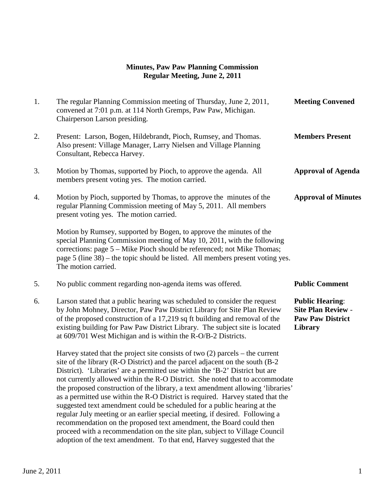# **Minutes, Paw Paw Planning Commission Regular Meeting, June 2, 2011**

| 1. | The regular Planning Commission meeting of Thursday, June 2, 2011,<br>convened at 7:01 p.m. at 114 North Gremps, Paw Paw, Michigan.<br>Chairperson Larson presiding.                                                                                                                                                                                                                                                                                                                                                                                                                                                                                                                                                                  | <b>Meeting Convened</b>                                                                   |
|----|---------------------------------------------------------------------------------------------------------------------------------------------------------------------------------------------------------------------------------------------------------------------------------------------------------------------------------------------------------------------------------------------------------------------------------------------------------------------------------------------------------------------------------------------------------------------------------------------------------------------------------------------------------------------------------------------------------------------------------------|-------------------------------------------------------------------------------------------|
| 2. | Present: Larson, Bogen, Hildebrandt, Pioch, Rumsey, and Thomas.<br>Also present: Village Manager, Larry Nielsen and Village Planning<br>Consultant, Rebecca Harvey.                                                                                                                                                                                                                                                                                                                                                                                                                                                                                                                                                                   | <b>Members Present</b>                                                                    |
| 3. | Motion by Thomas, supported by Pioch, to approve the agenda. All<br>members present voting yes. The motion carried.                                                                                                                                                                                                                                                                                                                                                                                                                                                                                                                                                                                                                   | <b>Approval of Agenda</b>                                                                 |
| 4. | Motion by Pioch, supported by Thomas, to approve the minutes of the<br>regular Planning Commission meeting of May 5, 2011. All members<br>present voting yes. The motion carried.                                                                                                                                                                                                                                                                                                                                                                                                                                                                                                                                                     | <b>Approval of Minutes</b>                                                                |
|    | Motion by Rumsey, supported by Bogen, to approve the minutes of the<br>special Planning Commission meeting of May 10, 2011, with the following<br>corrections: page 5 – Mike Pioch should be referenced; not Mike Thomas;<br>page 5 (line 38) – the topic should be listed. All members present voting yes.<br>The motion carried.                                                                                                                                                                                                                                                                                                                                                                                                    |                                                                                           |
| 5. | No public comment regarding non-agenda items was offered.                                                                                                                                                                                                                                                                                                                                                                                                                                                                                                                                                                                                                                                                             | <b>Public Comment</b>                                                                     |
| 6. | Larson stated that a public hearing was scheduled to consider the request<br>by John Mohney, Director, Paw Paw District Library for Site Plan Review<br>of the proposed construction of a 17,219 sq ft building and removal of the<br>existing building for Paw Paw District Library. The subject site is located<br>at 609/701 West Michigan and is within the R-O/B-2 Districts.                                                                                                                                                                                                                                                                                                                                                    | <b>Public Hearing:</b><br><b>Site Plan Review -</b><br><b>Paw Paw District</b><br>Library |
|    | Harvey stated that the project site consists of two $(2)$ parcels – the current<br>site of the library (R-O District) and the parcel adjacent on the south (B-2<br>District). 'Libraries' are a permitted use within the 'B-2' District but are<br>not currently allowed within the R-O District. She noted that to accommodate<br>the proposed construction of the library, a text amendment allowing 'libraries'<br>as a permitted use within the R-O District is required. Harvey stated that the<br>suggested text amendment could be scheduled for a public hearing at the<br>regular July meeting or an earlier special meeting, if desired. Following a<br>recommendation on the proposed text amendment, the Board could then |                                                                                           |

 proceed with a recommendation on the site plan, subject to Village Council adoption of the text amendment. To that end, Harvey suggested that the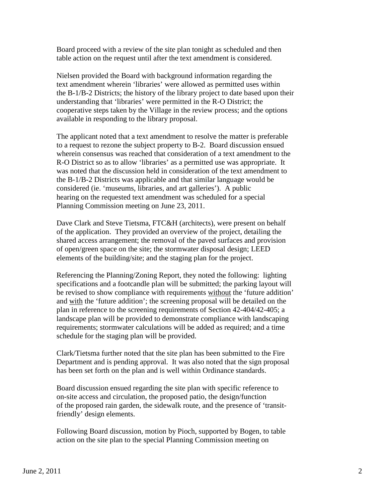Board proceed with a review of the site plan tonight as scheduled and then table action on the request until after the text amendment is considered.

 Nielsen provided the Board with background information regarding the text amendment wherein 'libraries' were allowed as permitted uses within the B-1/B-2 Districts; the history of the library project to date based upon their understanding that 'libraries' were permitted in the R-O District; the cooperative steps taken by the Village in the review process; and the options available in responding to the library proposal.

 The applicant noted that a text amendment to resolve the matter is preferable to a request to rezone the subject property to B-2. Board discussion ensued wherein consensus was reached that consideration of a text amendment to the R-O District so as to allow 'libraries' as a permitted use was appropriate. It was noted that the discussion held in consideration of the text amendment to the B-1/B-2 Districts was applicable and that similar language would be considered (ie. 'museums, libraries, and art galleries'). A public hearing on the requested text amendment was scheduled for a special Planning Commission meeting on June 23, 2011.

 Dave Clark and Steve Tietsma, FTC&H (architects), were present on behalf of the application. They provided an overview of the project, detailing the shared access arrangement; the removal of the paved surfaces and provision of open/green space on the site; the stormwater disposal design; LEED elements of the building/site; and the staging plan for the project.

 Referencing the Planning/Zoning Report, they noted the following: lighting specifications and a footcandle plan will be submitted; the parking layout will be revised to show compliance with requirements without the 'future addition' and with the 'future addition'; the screening proposal will be detailed on the plan in reference to the screening requirements of Section 42-404/42-405; a landscape plan will be provided to demonstrate compliance with landscaping requirements; stormwater calculations will be added as required; and a time schedule for the staging plan will be provided.

 Clark/Tietsma further noted that the site plan has been submitted to the Fire Department and is pending approval. It was also noted that the sign proposal has been set forth on the plan and is well within Ordinance standards.

 Board discussion ensued regarding the site plan with specific reference to on-site access and circulation, the proposed patio, the design/function of the proposed rain garden, the sidewalk route, and the presence of 'transit friendly' design elements.

 Following Board discussion, motion by Pioch, supported by Bogen, to table action on the site plan to the special Planning Commission meeting on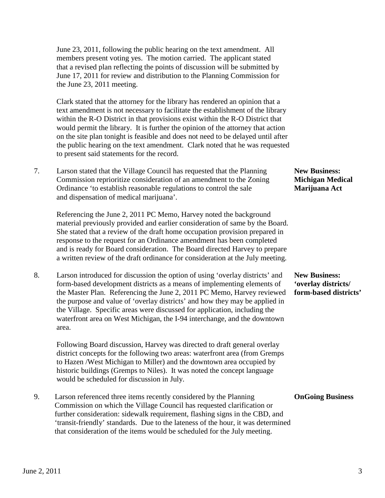June 23, 2011, following the public hearing on the text amendment. All members present voting yes. The motion carried. The applicant stated that a revised plan reflecting the points of discussion will be submitted by June 17, 2011 for review and distribution to the Planning Commission for the June 23, 2011 meeting.

 Clark stated that the attorney for the library has rendered an opinion that a text amendment is not necessary to facilitate the establishment of the library within the R-O District in that provisions exist within the R-O District that would permit the library. It is further the opinion of the attorney that action on the site plan tonight is feasible and does not need to be delayed until after the public hearing on the text amendment. Clark noted that he was requested to present said statements for the record.

7. Larson stated that the Village Council has requested that the Planning **New Business:** Commission reprioritize consideration of an amendment to the Zoning **Michigan Medical**  Ordinance 'to establish reasonable regulations to control the sale **Marijuana Act** and dispensation of medical marijuana'.

 Referencing the June 2, 2011 PC Memo, Harvey noted the background material previously provided and earlier consideration of same by the Board. She stated that a review of the draft home occupation provision prepared in response to the request for an Ordinance amendment has been completed and is ready for Board consideration. The Board directed Harvey to prepare a written review of the draft ordinance for consideration at the July meeting.

8. Larson introduced for discussion the option of using 'overlay districts' and **New Business:** form-based development districts as a means of implementing elements of **'overlay districts/** the Master Plan. Referencing the June 2, 2011 PC Memo, Harvey reviewed **form-based districts'** the purpose and value of 'overlay districts' and how they may be applied in the Village. Specific areas were discussed for application, including the waterfront area on West Michigan, the I-94 interchange, and the downtown area.

 Following Board discussion, Harvey was directed to draft general overlay district concepts for the following two areas: waterfront area (from Gremps to Hazen /West Michigan to Miller) and the downtown area occupied by historic buildings (Gremps to Niles). It was noted the concept language would be scheduled for discussion in July.

 9. Larson referenced three items recently considered by the Planning **OnGoing Business** Commission on which the Village Council has requested clarification or further consideration: sidewalk requirement, flashing signs in the CBD, and 'transit-friendly' standards. Due to the lateness of the hour, it was determined that consideration of the items would be scheduled for the July meeting.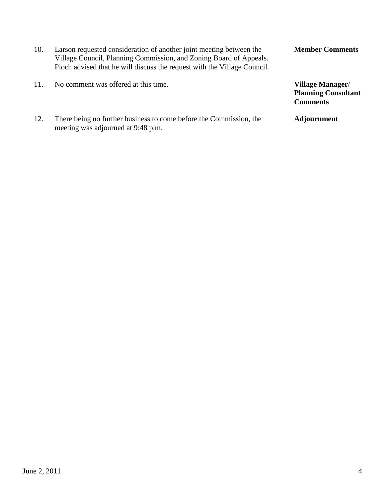- 10. Larson requested consideration of another joint meeting between the **Member Comments** Village Council, Planning Commission, and Zoning Board of Appeals. Pioch advised that he will discuss the request with the Village Council. 11. No comment was offered at this time. **Village Manager**/
- 12. There being no further business to come before the Commission, the **Adjournment** meeting was adjourned at 9:48 p.m.

**Comments**

**Planning Consultant**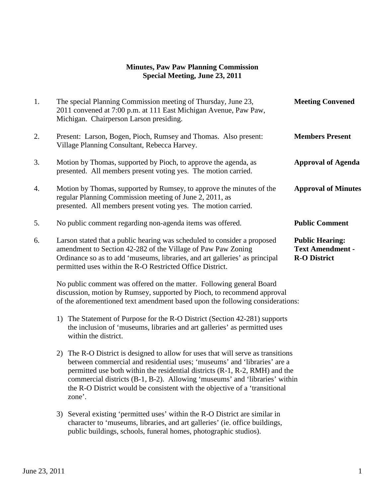#### **Minutes, Paw Paw Planning Commission Special Meeting, June 23, 2011**

| 1. | The special Planning Commission meeting of Thursday, June 23,<br>2011 convened at 7:00 p.m. at 111 East Michigan Avenue, Paw Paw,<br>Michigan. Chairperson Larson presiding.                                                                                                                                                                                                                                      | <b>Meeting Convened</b>                                                  |
|----|-------------------------------------------------------------------------------------------------------------------------------------------------------------------------------------------------------------------------------------------------------------------------------------------------------------------------------------------------------------------------------------------------------------------|--------------------------------------------------------------------------|
| 2. | Present: Larson, Bogen, Pioch, Rumsey and Thomas. Also present:<br>Village Planning Consultant, Rebecca Harvey.                                                                                                                                                                                                                                                                                                   | <b>Members Present</b>                                                   |
| 3. | Motion by Thomas, supported by Pioch, to approve the agenda, as<br>presented. All members present voting yes. The motion carried.                                                                                                                                                                                                                                                                                 | <b>Approval of Agenda</b>                                                |
| 4. | Motion by Thomas, supported by Rumsey, to approve the minutes of the<br>regular Planning Commission meeting of June 2, 2011, as<br>presented. All members present voting yes. The motion carried.                                                                                                                                                                                                                 | <b>Approval of Minutes</b>                                               |
| 5. | No public comment regarding non-agenda items was offered.                                                                                                                                                                                                                                                                                                                                                         | <b>Public Comment</b>                                                    |
| 6. | Larson stated that a public hearing was scheduled to consider a proposed<br>amendment to Section 42-282 of the Village of Paw Paw Zoning<br>Ordinance so as to add 'museums, libraries, and art galleries' as principal<br>permitted uses within the R-O Restricted Office District.                                                                                                                              | <b>Public Hearing:</b><br><b>Text Amendment -</b><br><b>R-O District</b> |
|    | No public comment was offered on the matter. Following general Board<br>discussion, motion by Rumsey, supported by Pioch, to recommend approval<br>of the aforementioned text amendment based upon the following considerations:                                                                                                                                                                                  |                                                                          |
|    | 1) The Statement of Purpose for the R-O District (Section 42-281) supports<br>the inclusion of 'museums, libraries and art galleries' as permitted uses<br>within the district.                                                                                                                                                                                                                                   |                                                                          |
|    | 2) The R-O District is designed to allow for uses that will serve as transitions<br>between commercial and residential uses; 'museums' and 'libraries' are a<br>permitted use both within the residential districts (R-1, R-2, RMH) and the<br>commercial districts (B-1, B-2). Allowing 'museums' and 'libraries' within<br>the R-O District would be consistent with the objective of a 'transitional<br>zone'. |                                                                          |
|    |                                                                                                                                                                                                                                                                                                                                                                                                                   |                                                                          |

3) Several existing 'permitted uses' within the R-O District are similar in character to 'museums, libraries, and art galleries' (ie. office buildings, public buildings, schools, funeral homes, photographic studios).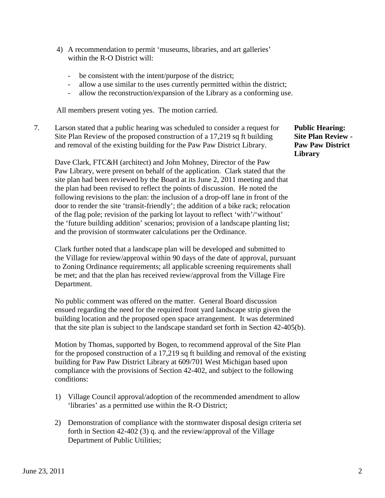- 4) A recommendation to permit 'museums, libraries, and art galleries' within the R-O District will:
	- be consistent with the intent/purpose of the district;
	- allow a use similar to the uses currently permitted within the district;
	- allow the reconstruction/expansion of the Library as a conforming use.

All members present voting yes. The motion carried.

7. Larson stated that a public hearing was scheduled to consider a request for **Public Hearing:** Site Plan Review of the proposed construction of a 17,219 sq ft building **Site Plan Review** and removal of the existing building for the Paw Paw District Library. **Paw Paw District**

Dave Clark, FTC&H (architect) and John Mohney, Director of the Paw Paw Library, were present on behalf of the application. Clark stated that the site plan had been reviewed by the Board at its June 2, 2011 meeting and that the plan had been revised to reflect the points of discussion. He noted the following revisions to the plan: the inclusion of a drop-off lane in front of the door to render the site 'transit-friendly'; the addition of a bike rack; relocation of the flag pole; revision of the parking lot layout to reflect 'with'/'without' the 'future building addition' scenarios; provision of a landscape planting list; and the provision of stormwater calculations per the Ordinance.

 Clark further noted that a landscape plan will be developed and submitted to the Village for review/approval within 90 days of the date of approval, pursuant to Zoning Ordinance requirements; all applicable screening requirements shall be met; and that the plan has received review/approval from the Village Fire Department.

 No public comment was offered on the matter. General Board discussion ensued regarding the need for the required front yard landscape strip given the building location and the proposed open space arrangement. It was determined that the site plan is subject to the landscape standard set forth in Section 42-405(b).

 Motion by Thomas, supported by Bogen, to recommend approval of the Site Plan for the proposed construction of a 17,219 sq ft building and removal of the existing building for Paw Paw District Library at 609/701 West Michigan based upon compliance with the provisions of Section 42-402, and subject to the following conditions:

- 1) Village Council approval/adoption of the recommended amendment to allow 'libraries' as a permitted use within the R-O District;
- 2) Demonstration of compliance with the stormwater disposal design criteria set forth in Section 42-402 (3) q. and the review/approval of the Village Department of Public Utilities;

**Library**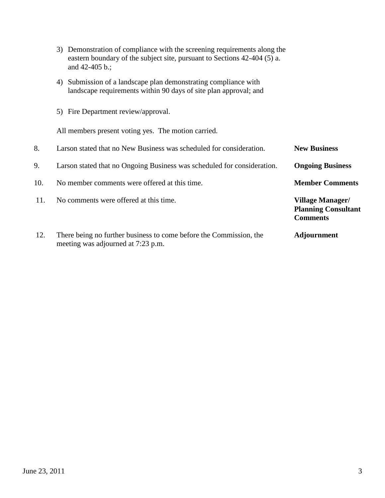- 3) Demonstration of compliance with the screening requirements along the eastern boundary of the subject site, pursuant to Sections 42-404 (5) a. and 42-405 b.;
	- 4) Submission of a landscape plan demonstrating compliance with landscape requirements within 90 days of site plan approval; and
	- 5) Fire Department review/approval.

All members present voting yes. The motion carried.

| 8.  | Larson stated that no New Business was scheduled for consideration.                                      | <b>New Business</b>                                                      |
|-----|----------------------------------------------------------------------------------------------------------|--------------------------------------------------------------------------|
| 9.  | Larson stated that no Ongoing Business was scheduled for consideration.                                  | <b>Ongoing Business</b>                                                  |
| 10. | No member comments were offered at this time.                                                            | <b>Member Comments</b>                                                   |
| 11. | No comments were offered at this time.                                                                   | <b>Village Manager/</b><br><b>Planning Consultant</b><br><b>Comments</b> |
| 12. | There being no further business to come before the Commission, the<br>meeting was adjourned at 7:23 p.m. | <b>Adjournment</b>                                                       |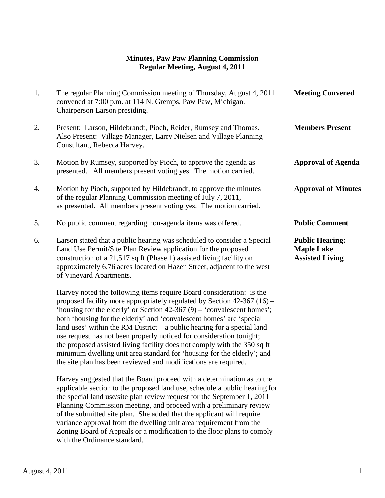## **Minutes, Paw Paw Planning Commission Regular Meeting, August 4, 2011**

| 1. | The regular Planning Commission meeting of Thursday, August 4, 2011<br>convened at 7:00 p.m. at 114 N. Gremps, Paw Paw, Michigan.<br>Chairperson Larson presiding.                                                                                                                                                    | <b>Meeting Convened</b>                                               |
|----|-----------------------------------------------------------------------------------------------------------------------------------------------------------------------------------------------------------------------------------------------------------------------------------------------------------------------|-----------------------------------------------------------------------|
| 2. | Present: Larson, Hildebrandt, Pioch, Reider, Rumsey and Thomas.<br>Also Present: Village Manager, Larry Nielsen and Village Planning<br>Consultant, Rebecca Harvey.                                                                                                                                                   | <b>Members Present</b>                                                |
| 3. | Motion by Rumsey, supported by Pioch, to approve the agenda as<br>presented. All members present voting yes. The motion carried.                                                                                                                                                                                      | <b>Approval of Agenda</b>                                             |
| 4. | Motion by Pioch, supported by Hildebrandt, to approve the minutes<br>of the regular Planning Commission meeting of July 7, 2011,<br>as presented. All members present voting yes. The motion carried.                                                                                                                 | <b>Approval of Minutes</b>                                            |
| 5. | No public comment regarding non-agenda items was offered.                                                                                                                                                                                                                                                             | <b>Public Comment</b>                                                 |
| 6. | Larson stated that a public hearing was scheduled to consider a Special<br>Land Use Permit/Site Plan Review application for the proposed<br>construction of a 21,517 sq ft (Phase 1) assisted living facility on<br>approximately 6.76 acres located on Hazen Street, adjacent to the west<br>of Vineyard Apartments. | <b>Public Hearing:</b><br><b>Maple Lake</b><br><b>Assisted Living</b> |

 Harvey noted the following items require Board consideration: is the proposed facility more appropriately regulated by Section 42-367 (16) – 'housing for the elderly' or Section 42-367 (9) – 'convalescent homes'; both 'housing for the elderly' and 'convalescent homes' are 'special land uses' within the RM District – a public hearing for a special land use request has not been properly noticed for consideration tonight; the proposed assisted living facility does not comply with the 350 sq ft minimum dwelling unit area standard for 'housing for the elderly'; and the site plan has been reviewed and modifications are required.

 Harvey suggested that the Board proceed with a determination as to the applicable section to the proposed land use, schedule a public hearing for the special land use/site plan review request for the September 1, 2011 Planning Commission meeting, and proceed with a preliminary review of the submitted site plan. She added that the applicant will require variance approval from the dwelling unit area requirement from the Zoning Board of Appeals or a modification to the floor plans to comply with the Ordinance standard.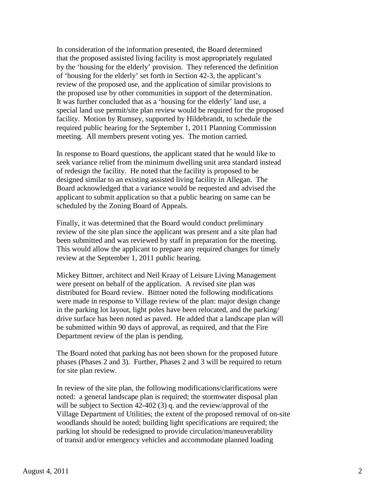In consideration of the information presented, the Board determined that the proposed assisted living facility is most appropriately regulated by the 'housing for the elderly' provision. They referenced the definition of 'housing for the elderly' set forth in Section 42-3, the applicant's review of the proposed use, and the application of similar provisions to the proposed use by other communities in support of the determination. It was further concluded that as a 'housing for the elderly' land use, a special land use permit/site plan review would be required for the proposed facility. Motion by Rumsey, supported by Hildebrandt, to schedule the required public hearing for the September 1, 2011 Planning Commission meeting. All members present voting yes. The motion carried.

 In response to Board questions, the applicant stated that he would like to seek variance relief from the minimum dwelling unit area standard instead of redesign the facility. He noted that the facility is proposed to be designed similar to an existing assisted living facility in Allegan. The Board acknowledged that a variance would be requested and advised the applicant to submit application so that a public hearing on same can be scheduled by the Zoning Board of Appeals.

 Finally, it was determined that the Board would conduct preliminary review of the site plan since the applicant was present and a site plan had been submitted and was reviewed by staff in preparation for the meeting. This would allow the applicant to prepare any required changes for timely review at the September 1, 2011 public hearing.

 Mickey Bittner, architect and Neil Kraay of Leisure Living Management were present on behalf of the application. A revised site plan was distributed for Board review. Bittner noted the following modifications were made in response to Village review of the plan: major design change in the parking lot layout, light poles have been relocated, and the parking/ drive surface has been noted as paved. He added that a landscape plan will be submitted within 90 days of approval, as required, and that the Fire Department review of the plan is pending.

 The Board noted that parking has not been shown for the proposed future phases (Phases 2 and 3). Further, Phases 2 and 3 will be required to return for site plan review.

 In review of the site plan, the following modifications/clarifications were noted: a general landscape plan is required; the stormwater disposal plan will be subject to Section 42-402 (3) q. and the review/approval of the Village Department of Utilities; the extent of the proposed removal of on-site woodlands should be noted; building light specifications are required; the parking lot should be redesigned to provide circulation/maneuverability of transit and/or emergency vehicles and accommodate planned loading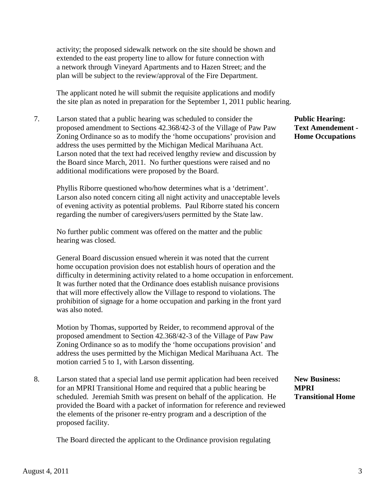activity; the proposed sidewalk network on the site should be shown and extended to the east property line to allow for future connection with a network through Vineyard Apartments and to Hazen Street; and the plan will be subject to the review/approval of the Fire Department.

 The applicant noted he will submit the requisite applications and modify the site plan as noted in preparation for the September 1, 2011 public hearing.

 7. Larson stated that a public hearing was scheduled to consider the **Public Hearing:** proposed amendment to Sections 42.368/42-3 of the Village of Paw Paw **Text Amendement -** Zoning Ordinance so as to modify the 'home occupations' provision and **Home Occupations**  address the uses permitted by the Michigan Medical Marihuana Act. Larson noted that the text had received lengthy review and discussion by the Board since March, 2011. No further questions were raised and no additional modifications were proposed by the Board.

 Phyllis Riborre questioned who/how determines what is a 'detriment'. Larson also noted concern citing all night activity and unacceptable levels of evening activity as potential problems. Paul Riborre stated his concern regarding the number of caregivers/users permitted by the State law.

 No further public comment was offered on the matter and the public hearing was closed.

 General Board discussion ensued wherein it was noted that the current home occupation provision does not establish hours of operation and the difficulty in determining activity related to a home occupation in enforcement. It was further noted that the Ordinance does establish nuisance provisions that will more effectively allow the Village to respond to violations. The prohibition of signage for a home occupation and parking in the front yard was also noted.

 Motion by Thomas, supported by Reider, to recommend approval of the proposed amendment to Section 42.368/42-3 of the Village of Paw Paw Zoning Ordinance so as to modify the 'home occupations provision' and address the uses permitted by the Michigan Medical Marihuana Act. The motion carried 5 to 1, with Larson dissenting.

 8. Larson stated that a special land use permit application had been received **New Business:** for an MPRI Transitional Home and required that a public hearing be **MPRI** scheduled. Jeremiah Smith was present on behalf of the application. He **Transitional Home**  provided the Board with a packet of information for reference and reviewed the elements of the prisoner re-entry program and a description of the proposed facility.

The Board directed the applicant to the Ordinance provision regulating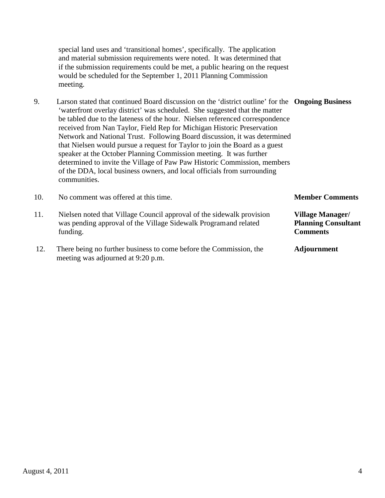special land uses and 'transitional homes', specifically. The application and material submission requirements were noted. It was determined that if the submission requirements could be met, a public hearing on the request would be scheduled for the September 1, 2011 Planning Commission meeting.

 9. Larson stated that continued Board discussion on the 'district outline' for the **Ongoing Business** 'waterfront overlay district' was scheduled. She suggested that the matter be tabled due to the lateness of the hour. Nielsen referenced correspondence received from Nan Taylor, Field Rep for Michigan Historic Preservation Network and National Trust. Following Board discussion, it was determined that Nielsen would pursue a request for Taylor to join the Board as a guest speaker at the October Planning Commission meeting. It was further determined to invite the Village of Paw Paw Historic Commission, members of the DDA, local business owners, and local officials from surrounding communities.

| 10. | No comment was offered at this time.                                                                                                                  | <b>Member Comments</b>                                            |
|-----|-------------------------------------------------------------------------------------------------------------------------------------------------------|-------------------------------------------------------------------|
| 11. | Nielsen noted that Village Council approval of the sidewalk provision<br>was pending approval of the Village Sidewalk Program and related<br>funding. | Village Manager/<br><b>Planning Consultant</b><br><b>Comments</b> |
| 12. | There being no further business to come before the Commission, the<br>meeting was adjourned at 9:20 p.m.                                              | <b>Adjournment</b>                                                |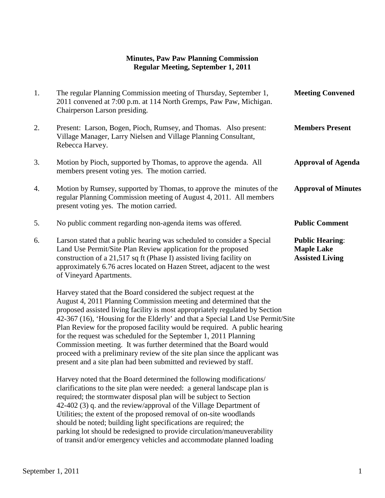# **Minutes, Paw Paw Planning Commission Regular Meeting, September 1, 2011**

| 1. | The regular Planning Commission meeting of Thursday, September 1,<br>2011 convened at 7:00 p.m. at 114 North Gremps, Paw Paw, Michigan.<br>Chairperson Larson presiding.                                                                                                                                              | <b>Meeting Convened</b>                                               |
|----|-----------------------------------------------------------------------------------------------------------------------------------------------------------------------------------------------------------------------------------------------------------------------------------------------------------------------|-----------------------------------------------------------------------|
| 2. | Present: Larson, Bogen, Pioch, Rumsey, and Thomas. Also present:<br>Village Manager, Larry Nielsen and Village Planning Consultant,<br>Rebecca Harvey.                                                                                                                                                                | <b>Members Present</b>                                                |
| 3. | Motion by Pioch, supported by Thomas, to approve the agenda. All<br>members present voting yes. The motion carried.                                                                                                                                                                                                   | <b>Approval of Agenda</b>                                             |
| 4. | Motion by Rumsey, supported by Thomas, to approve the minutes of the<br>regular Planning Commission meeting of August 4, 2011. All members<br>present voting yes. The motion carried.                                                                                                                                 | <b>Approval of Minutes</b>                                            |
| 5. | No public comment regarding non-agenda items was offered.                                                                                                                                                                                                                                                             | <b>Public Comment</b>                                                 |
| 6. | Larson stated that a public hearing was scheduled to consider a Special<br>Land Use Permit/Site Plan Review application for the proposed<br>construction of a 21,517 sq ft (Phase I) assisted living facility on<br>approximately 6.76 acres located on Hazen Street, adjacent to the west<br>of Vineyard Apartments. | <b>Public Hearing:</b><br><b>Maple Lake</b><br><b>Assisted Living</b> |

Harvey stated that the Board considered the subject request at the August 4, 2011 Planning Commission meeting and determined that the proposed assisted living facility is most appropriately regulated by Section 42-367 (16), 'Housing for the Elderly' and that a Special Land Use Permit/Site Plan Review for the proposed facility would be required. A public hearing for the request was scheduled for the September 1, 2011 Planning Commission meeting. It was further determined that the Board would proceed with a preliminary review of the site plan since the applicant was present and a site plan had been submitted and reviewed by staff.

Harvey noted that the Board determined the following modifications/ clarifications to the site plan were needed: a general landscape plan is required; the stormwater disposal plan will be subject to Section 42-402 (3) q. and the review/approval of the Village Department of Utilities; the extent of the proposed removal of on-site woodlands should be noted; building light specifications are required; the parking lot should be redesigned to provide circulation/maneuverability of transit and/or emergency vehicles and accommodate planned loading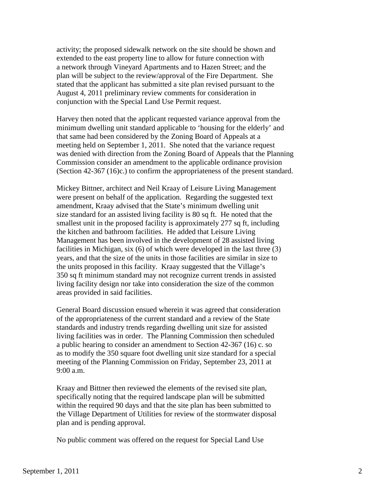activity; the proposed sidewalk network on the site should be shown and extended to the east property line to allow for future connection with a network through Vineyard Apartments and to Hazen Street; and the plan will be subject to the review/approval of the Fire Department. She stated that the applicant has submitted a site plan revised pursuant to the August 4, 2011 preliminary review comments for consideration in conjunction with the Special Land Use Permit request.

 Harvey then noted that the applicant requested variance approval from the minimum dwelling unit standard applicable to 'housing for the elderly' and that same had been considered by the Zoning Board of Appeals at a meeting held on September 1, 2011. She noted that the variance request was denied with direction from the Zoning Board of Appeals that the Planning Commission consider an amendment to the applicable ordinance provision (Section 42-367 (16)c.) to confirm the appropriateness of the present standard.

 Mickey Bittner, architect and Neil Kraay of Leisure Living Management were present on behalf of the application. Regarding the suggested text amendment, Kraay advised that the State's minimum dwelling unit size standard for an assisted living facility is 80 sq ft. He noted that the smallest unit in the proposed facility is approximately 277 sq ft, including the kitchen and bathroom facilities. He added that Leisure Living Management has been involved in the development of 28 assisted living facilities in Michigan, six (6) of which were developed in the last three (3) years, and that the size of the units in those facilities are similar in size to the units proposed in this facility. Kraay suggested that the Village's 350 sq ft minimum standard may not recognize current trends in assisted living facility design nor take into consideration the size of the common areas provided in said facilities.

 General Board discussion ensued wherein it was agreed that consideration of the appropriateness of the current standard and a review of the State standards and industry trends regarding dwelling unit size for assisted living facilities was in order. The Planning Commission then scheduled a public hearing to consider an amendment to Section 42-367 (16) c. so as to modify the 350 square foot dwelling unit size standard for a special meeting of the Planning Commission on Friday, September 23, 2011 at 9:00 a.m.

Kraay and Bittner then reviewed the elements of the revised site plan, specifically noting that the required landscape plan will be submitted within the required 90 days and that the site plan has been submitted to the Village Department of Utilities for review of the stormwater disposal plan and is pending approval.

No public comment was offered on the request for Special Land Use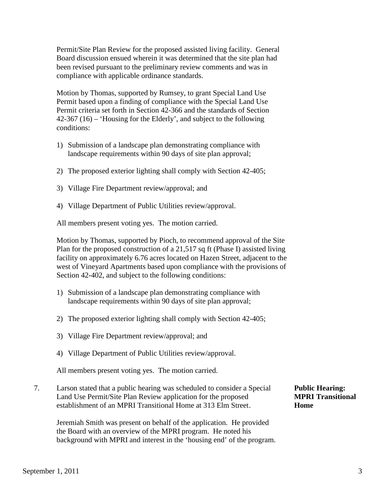Permit/Site Plan Review for the proposed assisted living facility. General Board discussion ensued wherein it was determined that the site plan had been revised pursuant to the preliminary review comments and was in compliance with applicable ordinance standards.

Motion by Thomas, supported by Rumsey, to grant Special Land Use Permit based upon a finding of compliance with the Special Land Use Permit criteria set forth in Section 42-366 and the standards of Section 42-367 (16) – 'Housing for the Elderly', and subject to the following conditions:

- 1) Submission of a landscape plan demonstrating compliance with landscape requirements within 90 days of site plan approval;
- 2) The proposed exterior lighting shall comply with Section 42-405;
- 3) Village Fire Department review/approval; and
- 4) Village Department of Public Utilities review/approval.

All members present voting yes. The motion carried.

Motion by Thomas, supported by Pioch, to recommend approval of the Site Plan for the proposed construction of a 21,517 sq ft (Phase I) assisted living facility on approximately 6.76 acres located on Hazen Street, adjacent to the west of Vineyard Apartments based upon compliance with the provisions of Section 42-402, and subject to the following conditions:

- 1) Submission of a landscape plan demonstrating compliance with landscape requirements within 90 days of site plan approval;
- 2) The proposed exterior lighting shall comply with Section 42-405;
- 3) Village Fire Department review/approval; and
- 4) Village Department of Public Utilities review/approval.

All members present voting yes. The motion carried.

7. Larson stated that a public hearing was scheduled to consider a Special **Public Hearing:** Land Use Permit/Site Plan Review application for the proposed **MPRI Transitional** establishment of an MPRI Transitional Home at 313 Elm Street. **Home**

 Jeremiah Smith was present on behalf of the application. He provided the Board with an overview of the MPRI program. He noted his background with MPRI and interest in the 'housing end' of the program.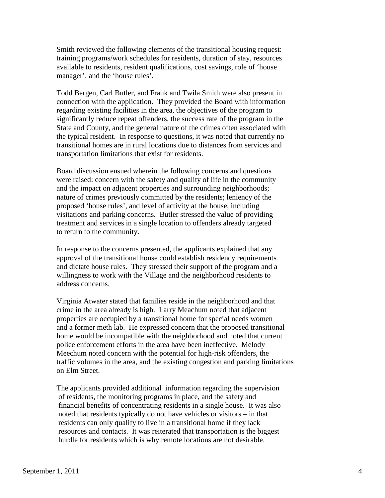Smith reviewed the following elements of the transitional housing request: training programs/work schedules for residents, duration of stay, resources available to residents, resident qualifications, cost savings, role of 'house manager', and the 'house rules'.

 Todd Bergen, Carl Butler, and Frank and Twila Smith were also present in connection with the application. They provided the Board with information regarding existing facilities in the area, the objectives of the program to significantly reduce repeat offenders, the success rate of the program in the State and County, and the general nature of the crimes often associated with the typical resident. In response to questions, it was noted that currently no transitional homes are in rural locations due to distances from services and transportation limitations that exist for residents.

 Board discussion ensued wherein the following concerns and questions were raised: concern with the safety and quality of life in the community and the impact on adjacent properties and surrounding neighborhoods; nature of crimes previously committed by the residents; leniency of the proposed 'house rules', and level of activity at the house, including visitations and parking concerns. Butler stressed the value of providing treatment and services in a single location to offenders already targeted to return to the community.

 In response to the concerns presented, the applicants explained that any approval of the transitional house could establish residency requirements and dictate house rules. They stressed their support of the program and a willingness to work with the Village and the neighborhood residents to address concerns.

 Virginia Atwater stated that families reside in the neighborhood and that crime in the area already is high. Larry Meachum noted that adjacent properties are occupied by a transitional home for special needs women and a former meth lab. He expressed concern that the proposed transitional home would be incompatible with the neighborhood and noted that current police enforcement efforts in the area have been ineffective. Melody Meechum noted concern with the potential for high-risk offenders, the traffic volumes in the area, and the existing congestion and parking limitations on Elm Street.

 The applicants provided additional information regarding the supervision of residents, the monitoring programs in place, and the safety and financial benefits of concentrating residents in a single house. It was also noted that residents typically do not have vehicles or visitors – in that residents can only qualify to live in a transitional home if they lack resources and contacts. It was reiterated that transportation is the biggest hurdle for residents which is why remote locations are not desirable.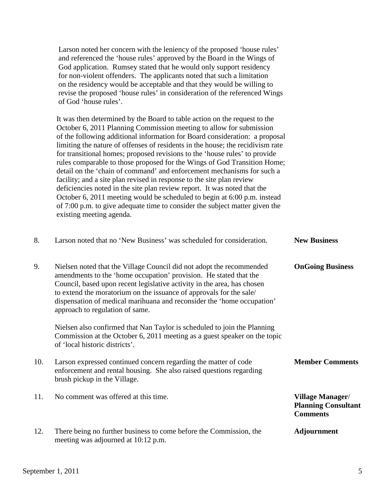Larson noted her concern with the leniency of the proposed 'house rules' and referenced the 'house rules' approved by the Board in the Wings of God application. Rumsey stated that he would only support residency for non-violent offenders. The applicants noted that such a limitation on the residency would be acceptable and that they would be willing to revise the proposed 'house rules' in consideration of the referenced Wings of God 'house rules'.

It was then determined by the Board to table action on the request to the October 6, 2011 Planning Commission meeting to allow for submission of the following additional information for Board consideration: a proposal limiting the nature of offenses of residents in the house; the recidivism rate for transitional homes; proposed revisions to the 'house rules' to provide rules comparable to those proposed for the Wings of God Transition Home; detail on the 'chain of command' and enforcement mechanisms for such a facility; and a site plan revised in response to the site plan review deficiencies noted in the site plan review report. It was noted that the October 6, 2011 meeting would be scheduled to begin at 6:00 p.m. instead of 7:00 p.m. to give adequate time to consider the subject matter given the existing meeting agenda.

| 8.  | Larson noted that no 'New Business' was scheduled for consideration.                                                                                                                                                                                                                                                                                                                                     | <b>New Business</b>                                                      |
|-----|----------------------------------------------------------------------------------------------------------------------------------------------------------------------------------------------------------------------------------------------------------------------------------------------------------------------------------------------------------------------------------------------------------|--------------------------------------------------------------------------|
| 9.  | Nielsen noted that the Village Council did not adopt the recommended<br>amendments to the 'home occupation' provision. He stated that the<br>Council, based upon recent legislative activity in the area, has chosen<br>to extend the moratorium on the issuance of approvals for the sale/<br>dispensation of medical marihuana and reconsider the 'home occupation'<br>approach to regulation of same. | <b>OnGoing Business</b>                                                  |
|     | Nielsen also confirmed that Nan Taylor is scheduled to join the Planning<br>Commission at the October 6, 2011 meeting as a guest speaker on the topic<br>of 'local historic districts'.                                                                                                                                                                                                                  |                                                                          |
| 10. | Larson expressed continued concern regarding the matter of code<br>enforcement and rental housing. She also raised questions regarding<br>brush pickup in the Village.                                                                                                                                                                                                                                   | <b>Member Comments</b>                                                   |
| 11. | No comment was offered at this time.                                                                                                                                                                                                                                                                                                                                                                     | <b>Village Manager/</b><br><b>Planning Consultant</b><br><b>Comments</b> |
| 12. | There being no further business to come before the Commission, the<br>meeting was adjourned at 10:12 p.m.                                                                                                                                                                                                                                                                                                | <b>Adjournment</b>                                                       |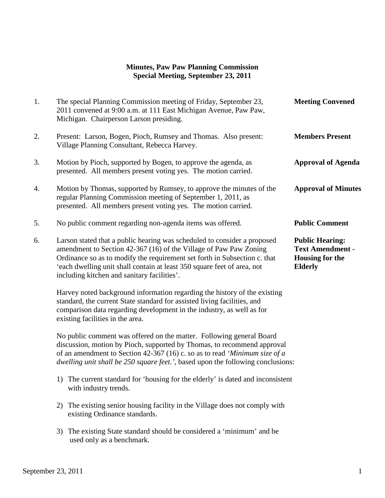#### **Minutes, Paw Paw Planning Commission Special Meeting, September 23, 2011**

| 1. | The special Planning Commission meeting of Friday, September 23,<br>2011 convened at 9:00 a.m. at 111 East Michigan Avenue, Paw Paw,<br>Michigan. Chairperson Larson presiding.                                                                                                                                                                      | <b>Meeting Convened</b>                                                                       |
|----|------------------------------------------------------------------------------------------------------------------------------------------------------------------------------------------------------------------------------------------------------------------------------------------------------------------------------------------------------|-----------------------------------------------------------------------------------------------|
| 2. | Present: Larson, Bogen, Pioch, Rumsey and Thomas. Also present:<br>Village Planning Consultant, Rebecca Harvey.                                                                                                                                                                                                                                      | <b>Members Present</b>                                                                        |
| 3. | Motion by Pioch, supported by Bogen, to approve the agenda, as<br>presented. All members present voting yes. The motion carried.                                                                                                                                                                                                                     | <b>Approval of Agenda</b>                                                                     |
| 4. | Motion by Thomas, supported by Rumsey, to approve the minutes of the<br>regular Planning Commission meeting of September 1, 2011, as<br>presented. All members present voting yes. The motion carried.                                                                                                                                               | <b>Approval of Minutes</b>                                                                    |
| 5. | No public comment regarding non-agenda items was offered.                                                                                                                                                                                                                                                                                            | <b>Public Comment</b>                                                                         |
| 6. | Larson stated that a public hearing was scheduled to consider a proposed<br>amendment to Section 42-367 (16) of the Village of Paw Paw Zoning<br>Ordinance so as to modify the requirement set forth in Subsection c. that<br>'each dwelling unit shall contain at least 350 square feet of area, not<br>including kitchen and sanitary facilities'. | <b>Public Hearing:</b><br><b>Text Amendment -</b><br><b>Housing for the</b><br><b>Elderly</b> |
|    | Harvey noted background information regarding the history of the existing                                                                                                                                                                                                                                                                            |                                                                                               |

 standard, the current State standard for assisted living facilities, and comparison data regarding development in the industry, as well as for existing facilities in the area.

 No public comment was offered on the matter. Following general Board discussion, motion by Pioch, supported by Thomas, to recommend approval of an amendment to Section 42-367 (16) c. so as to read *'Minimum size of a dwelling unit shall be 250 square feet.',* based upon the following conclusions:

- 1) The current standard for 'housing for the elderly' is dated and inconsistent with industry trends.
- 2) The existing senior housing facility in the Village does not comply with existing Ordinance standards.
- 3) The existing State standard should be considered a 'minimum' and be used only as a benchmark.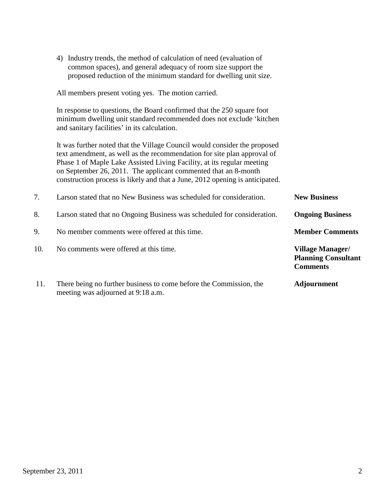|     | 4) Industry trends, the method of calculation of need (evaluation of<br>common spaces), and general adequacy of room size support the<br>proposed reduction of the minimum standard for dwelling unit size.                                                                                                                                                                      |                                                                          |
|-----|----------------------------------------------------------------------------------------------------------------------------------------------------------------------------------------------------------------------------------------------------------------------------------------------------------------------------------------------------------------------------------|--------------------------------------------------------------------------|
|     | All members present voting yes. The motion carried.                                                                                                                                                                                                                                                                                                                              |                                                                          |
|     | In response to questions, the Board confirmed that the 250 square foot<br>minimum dwelling unit standard recommended does not exclude 'kitchen<br>and sanitary facilities' in its calculation.                                                                                                                                                                                   |                                                                          |
|     | It was further noted that the Village Council would consider the proposed<br>text amendment, as well as the recommendation for site plan approval of<br>Phase 1 of Maple Lake Assisted Living Facility, at its regular meeting<br>on September 26, 2011. The applicant commented that an 8-month<br>construction process is likely and that a June, 2012 opening is anticipated. |                                                                          |
| 7.  | Larson stated that no New Business was scheduled for consideration.                                                                                                                                                                                                                                                                                                              | <b>New Business</b>                                                      |
| 8.  | Larson stated that no Ongoing Business was scheduled for consideration.                                                                                                                                                                                                                                                                                                          | <b>Ongoing Business</b>                                                  |
| 9.  | No member comments were offered at this time.                                                                                                                                                                                                                                                                                                                                    | <b>Member Comments</b>                                                   |
| 10. | No comments were offered at this time.                                                                                                                                                                                                                                                                                                                                           | <b>Village Manager/</b><br><b>Planning Consultant</b><br><b>Comments</b> |
| 11. | There being no further business to come before the Commission, the<br>meeting was adjourned at 9:18 a.m.                                                                                                                                                                                                                                                                         | <b>Adjournment</b>                                                       |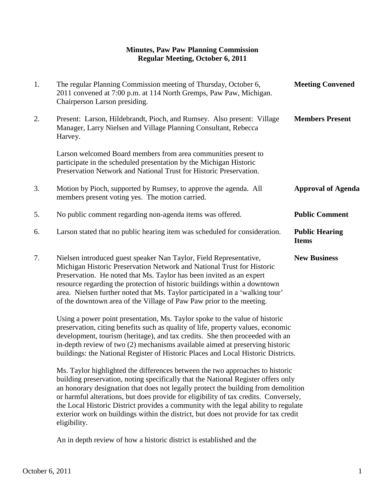#### **Minutes, Paw Paw Planning Commission Regular Meeting, October 6, 2011**

| 1. | The regular Planning Commission meeting of Thursday, October 6,<br>2011 convened at 7:00 p.m. at 114 North Gremps, Paw Paw, Michigan.<br>Chairperson Larson presiding.                                                                                                                                                                                                                                                                                    | <b>Meeting Convened</b>               |
|----|-----------------------------------------------------------------------------------------------------------------------------------------------------------------------------------------------------------------------------------------------------------------------------------------------------------------------------------------------------------------------------------------------------------------------------------------------------------|---------------------------------------|
| 2. | Present: Larson, Hildebrandt, Pioch, and Rumsey. Also present: Village<br>Manager, Larry Nielsen and Village Planning Consultant, Rebecca<br>Harvey.                                                                                                                                                                                                                                                                                                      | <b>Members Present</b>                |
|    | Larson welcomed Board members from area communities present to<br>participate in the scheduled presentation by the Michigan Historic<br>Preservation Network and National Trust for Historic Preservation.                                                                                                                                                                                                                                                |                                       |
| 3. | Motion by Pioch, supported by Rumsey, to approve the agenda. All<br>members present voting yes. The motion carried.                                                                                                                                                                                                                                                                                                                                       | <b>Approval of Agenda</b>             |
| 5. | No public comment regarding non-agenda items was offered.                                                                                                                                                                                                                                                                                                                                                                                                 | <b>Public Comment</b>                 |
| 6. | Larson stated that no public hearing item was scheduled for consideration.                                                                                                                                                                                                                                                                                                                                                                                | <b>Public Hearing</b><br><b>Items</b> |
| 7. | Nielsen introduced guest speaker Nan Taylor, Field Representative,<br>Michigan Historic Preservation Network and National Trust for Historic<br>Preservation. He noted that Ms. Taylor has been invited as an expert<br>resource regarding the protection of historic buildings within a downtown<br>area. Nielsen further noted that Ms. Taylor participated in a 'walking tour'<br>of the downtown area of the Village of Paw Paw prior to the meeting. | <b>New Business</b>                   |
|    | Using a power point presentation, Ms. Taylor spoke to the value of historic<br>$\mathcal{C} = \{ \mathcal{C} \}$ and $\mathcal{C} = \{ \mathcal{C} \}$ and $\mathcal{C} = \{ \mathcal{C} \}$ and $\mathcal{C} = \{ \mathcal{C} \}$ and $\mathcal{C} = \{ \mathcal{C} \}$                                                                                                                                                                                  |                                       |

preservation, citing benefits such as quality of life, property values, economic development, tourism (heritage), and tax credits. She then proceeded with an in-depth review of two (2) mechanisms available aimed at preserving historic buildings: the National Register of Historic Places and Local Historic Districts.

Ms. Taylor highlighted the differences between the two approaches to historic building preservation, noting specifically that the National Register offers only an honorary designation that does not legally protect the building from demolition or harmful alterations, but does provide for eligibility of tax credits. Conversely, the Local Historic District provides a community with the legal ability to regulate exterior work on buildings within the district, but does not provide for tax credit eligibility.

An in depth review of how a historic district is established and the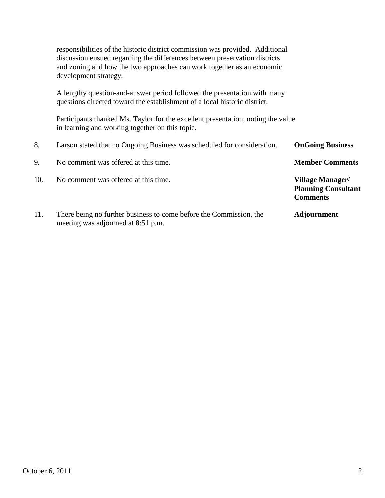responsibilities of the historic district commission was provided. Additional discussion ensued regarding the differences between preservation districts and zoning and how the two approaches can work together as an economic development strategy. A lengthy question-and-answer period followed the presentation with many questions directed toward the establishment of a local historic district. Participants thanked Ms. Taylor for the excellent presentation, noting the value in learning and working together on this topic. 8. Larson stated that no Ongoing Business was scheduled for consideration. **OnGoing Business** 9. No comment was offered at this time. **Member Comments** 10. No comment was offered at this time. **Village Manager**/ **Planning Consultant**  *Comments* 11. There being no further business to come before the Commission, the **Adjournment** meeting was adjourned at 8:51 p.m.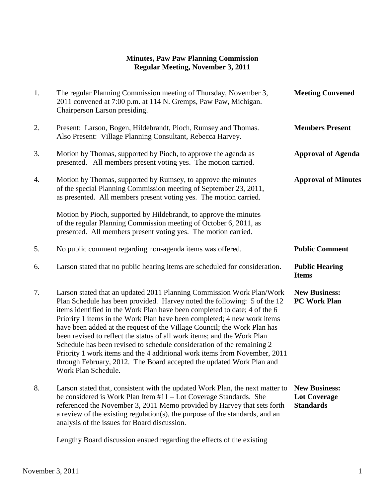# **Minutes, Paw Paw Planning Commission Regular Meeting, November 3, 2011**

| 1. | The regular Planning Commission meeting of Thursday, November 3,<br>2011 convened at 7:00 p.m. at 114 N. Gremps, Paw Paw, Michigan.<br>Chairperson Larson presiding.                                                                                                                                                                                                                                                                                                                                                                                                                                                                                                                                                   | <b>Meeting Convened</b>                                         |
|----|------------------------------------------------------------------------------------------------------------------------------------------------------------------------------------------------------------------------------------------------------------------------------------------------------------------------------------------------------------------------------------------------------------------------------------------------------------------------------------------------------------------------------------------------------------------------------------------------------------------------------------------------------------------------------------------------------------------------|-----------------------------------------------------------------|
| 2. | Present: Larson, Bogen, Hildebrandt, Pioch, Rumsey and Thomas.<br>Also Present: Village Planning Consultant, Rebecca Harvey.                                                                                                                                                                                                                                                                                                                                                                                                                                                                                                                                                                                           | <b>Members Present</b>                                          |
| 3. | Motion by Thomas, supported by Pioch, to approve the agenda as<br>presented. All members present voting yes. The motion carried.                                                                                                                                                                                                                                                                                                                                                                                                                                                                                                                                                                                       | <b>Approval of Agenda</b>                                       |
| 4. | Motion by Thomas, supported by Rumsey, to approve the minutes<br>of the special Planning Commission meeting of September 23, 2011,<br>as presented. All members present voting yes. The motion carried.                                                                                                                                                                                                                                                                                                                                                                                                                                                                                                                | <b>Approval of Minutes</b>                                      |
|    | Motion by Pioch, supported by Hildebrandt, to approve the minutes<br>of the regular Planning Commission meeting of October 6, 2011, as<br>presented. All members present voting yes. The motion carried.                                                                                                                                                                                                                                                                                                                                                                                                                                                                                                               |                                                                 |
| 5. | No public comment regarding non-agenda items was offered.                                                                                                                                                                                                                                                                                                                                                                                                                                                                                                                                                                                                                                                              | <b>Public Comment</b>                                           |
| 6. | Larson stated that no public hearing items are scheduled for consideration.                                                                                                                                                                                                                                                                                                                                                                                                                                                                                                                                                                                                                                            | <b>Public Hearing</b><br><b>Items</b>                           |
| 7. | Larson stated that an updated 2011 Planning Commission Work Plan/Work<br>Plan Schedule has been provided. Harvey noted the following: 5 of the 12<br>items identified in the Work Plan have been completed to date; 4 of the 6<br>Priority 1 items in the Work Plan have been completed; 4 new work items<br>have been added at the request of the Village Council; the Work Plan has<br>been revised to reflect the status of all work items; and the Work Plan<br>Schedule has been revised to schedule consideration of the remaining 2<br>Priority 1 work items and the 4 additional work items from November, 2011<br>through February, 2012. The Board accepted the updated Work Plan and<br>Work Plan Schedule. | <b>New Business:</b><br><b>PC Work Plan</b>                     |
| 8. | Larson stated that, consistent with the updated Work Plan, the next matter to<br>be considered is Work Plan Item #11 – Lot Coverage Standards. She<br>referenced the November 3, 2011 Memo provided by Harvey that sets forth<br>a review of the existing regulation(s), the purpose of the standards, and an<br>analysis of the issues for Board discussion.                                                                                                                                                                                                                                                                                                                                                          | <b>New Business:</b><br><b>Lot Coverage</b><br><b>Standards</b> |

Lengthy Board discussion ensued regarding the effects of the existing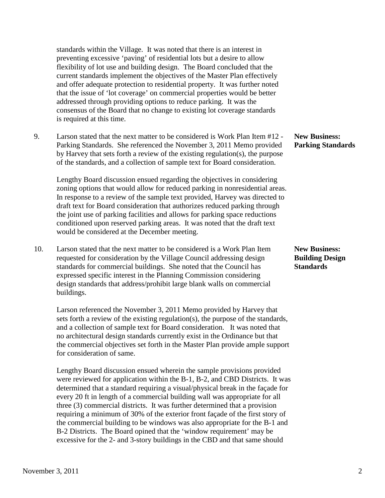standards within the Village. It was noted that there is an interest in preventing excessive 'paving' of residential lots but a desire to allow flexibility of lot use and building design. The Board concluded that the current standards implement the objectives of the Master Plan effectively and offer adequate protection to residential property. It was further noted that the issue of 'lot coverage' on commercial properties would be better addressed through providing options to reduce parking. It was the consensus of the Board that no change to existing lot coverage standards is required at this time.

 9. Larson stated that the next matter to be considered is Work Plan Item #12 - **New Business:** Parking Standards. She referenced the November 3, 2011 Memo provided by Harvey that sets forth a review of the existing regulation(s), the purpose of the standards, and a collection of sample text for Board consideration.

 Lengthy Board discussion ensued regarding the objectives in considering zoning options that would allow for reduced parking in nonresidential areas. In response to a review of the sample text provided, Harvey was directed to draft text for Board consideration that authorizes reduced parking through the joint use of parking facilities and allows for parking space reductions conditioned upon reserved parking areas. It was noted that the draft text would be considered at the December meeting.

 10. Larson stated that the next matter to be considered is a Work Plan Item **New Business:** requested for consideration by the Village Council addressing design **Building Design** standards for commercial buildings. She noted that the Council has **Standards** expressed specific interest in the Planning Commission considering design standards that address/prohibit large blank walls on commercial buildings.

 Larson referenced the November 3, 2011 Memo provided by Harvey that sets forth a review of the existing regulation(s), the purpose of the standards, and a collection of sample text for Board consideration. It was noted that no architectural design standards currently exist in the Ordinance but that the commercial objectives set forth in the Master Plan provide ample support for consideration of same.

 Lengthy Board discussion ensued wherein the sample provisions provided were reviewed for application within the B-1, B-2, and CBD Districts. It was determined that a standard requiring a visual/physical break in the façade for every 20 ft in length of a commercial building wall was appropriate for all three (3) commercial districts. It was further determined that a provision requiring a minimum of 30% of the exterior front façade of the first story of the commercial building to be windows was also appropriate for the B-1 and B-2 Districts. The Board opined that the 'window requirement' may be excessive for the 2- and 3-story buildings in the CBD and that same should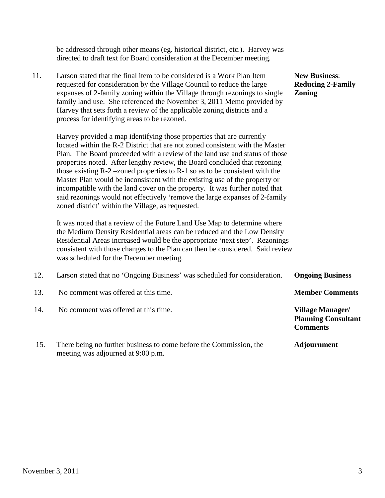| 11. | Larson stated that the final item to be considered is a Work Plan Item<br>requested for consideration by the Village Council to reduce the large<br>expanses of 2-family zoning within the Village through rezonings to single<br>family land use. She referenced the November 3, 2011 Memo provided by<br>Harvey that sets forth a review of the applicable zoning districts and a<br>process for identifying areas to be rezoned.<br>Harvey provided a map identifying those properties that are currently<br>located within the R-2 District that are not zoned consistent with the Master<br>Plan. The Board proceeded with a review of the land use and status of those<br>properties noted. After lengthy review, the Board concluded that rezoning<br>those existing $R-2$ –zoned properties to $R-1$ so as to be consistent with the<br>Master Plan would be inconsistent with the existing use of the property or<br>incompatible with the land cover on the property. It was further noted that<br>said rezonings would not effectively 'remove the large expanses of 2-family<br>zoned district' within the Village, as requested. | <b>New Business:</b><br><b>Reducing 2-Family</b><br><b>Zoning</b>        |
|-----|-----------------------------------------------------------------------------------------------------------------------------------------------------------------------------------------------------------------------------------------------------------------------------------------------------------------------------------------------------------------------------------------------------------------------------------------------------------------------------------------------------------------------------------------------------------------------------------------------------------------------------------------------------------------------------------------------------------------------------------------------------------------------------------------------------------------------------------------------------------------------------------------------------------------------------------------------------------------------------------------------------------------------------------------------------------------------------------------------------------------------------------------------|--------------------------------------------------------------------------|
|     | It was noted that a review of the Future Land Use Map to determine where<br>the Medium Density Residential areas can be reduced and the Low Density<br>Residential Areas increased would be the appropriate 'next step'. Rezonings<br>consistent with those changes to the Plan can then be considered. Said review<br>was scheduled for the December meeting.                                                                                                                                                                                                                                                                                                                                                                                                                                                                                                                                                                                                                                                                                                                                                                                |                                                                          |
| 12. | Larson stated that no 'Ongoing Business' was scheduled for consideration.                                                                                                                                                                                                                                                                                                                                                                                                                                                                                                                                                                                                                                                                                                                                                                                                                                                                                                                                                                                                                                                                     | <b>Ongoing Business</b>                                                  |
| 13. | No comment was offered at this time.                                                                                                                                                                                                                                                                                                                                                                                                                                                                                                                                                                                                                                                                                                                                                                                                                                                                                                                                                                                                                                                                                                          | <b>Member Comments</b>                                                   |
| 14. | No comment was offered at this time.                                                                                                                                                                                                                                                                                                                                                                                                                                                                                                                                                                                                                                                                                                                                                                                                                                                                                                                                                                                                                                                                                                          | <b>Village Manager/</b><br><b>Planning Consultant</b><br><b>Comments</b> |
| 15. | There being no further business to come before the Commission, the<br>meeting was adjourned at 9:00 p.m.                                                                                                                                                                                                                                                                                                                                                                                                                                                                                                                                                                                                                                                                                                                                                                                                                                                                                                                                                                                                                                      | <b>Adjournment</b>                                                       |

 be addressed through other means (eg. historical district, etc.). Harvey was directed to draft text for Board consideration at the December meeting.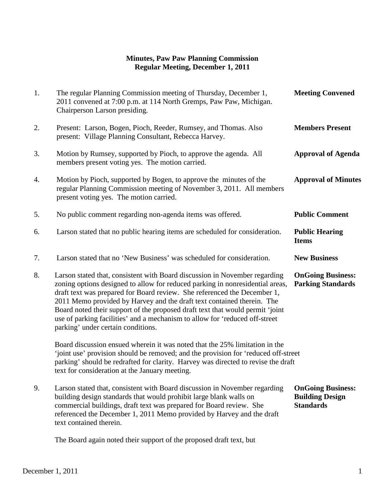# **Minutes, Paw Paw Planning Commission Regular Meeting, December 1, 2011**

| 1. | The regular Planning Commission meeting of Thursday, December 1,<br>2011 convened at 7:00 p.m. at 114 North Gremps, Paw Paw, Michigan.<br>Chairperson Larson presiding.                                                                                                                                                                                                                                                                                                                                                 | <b>Meeting Convened</b>                                                |
|----|-------------------------------------------------------------------------------------------------------------------------------------------------------------------------------------------------------------------------------------------------------------------------------------------------------------------------------------------------------------------------------------------------------------------------------------------------------------------------------------------------------------------------|------------------------------------------------------------------------|
| 2. | Present: Larson, Bogen, Pioch, Reeder, Rumsey, and Thomas. Also<br>present: Village Planning Consultant, Rebecca Harvey.                                                                                                                                                                                                                                                                                                                                                                                                | <b>Members Present</b>                                                 |
| 3. | Motion by Rumsey, supported by Pioch, to approve the agenda. All<br>members present voting yes. The motion carried.                                                                                                                                                                                                                                                                                                                                                                                                     | <b>Approval of Agenda</b>                                              |
| 4. | Motion by Pioch, supported by Bogen, to approve the minutes of the<br>regular Planning Commission meeting of November 3, 2011. All members<br>present voting yes. The motion carried.                                                                                                                                                                                                                                                                                                                                   | <b>Approval of Minutes</b>                                             |
| 5. | No public comment regarding non-agenda items was offered.                                                                                                                                                                                                                                                                                                                                                                                                                                                               | <b>Public Comment</b>                                                  |
| 6. | Larson stated that no public hearing items are scheduled for consideration.                                                                                                                                                                                                                                                                                                                                                                                                                                             | <b>Public Hearing</b><br><b>Items</b>                                  |
| 7. | Larson stated that no 'New Business' was scheduled for consideration.                                                                                                                                                                                                                                                                                                                                                                                                                                                   | <b>New Business</b>                                                    |
| 8. | Larson stated that, consistent with Board discussion in November regarding<br>zoning options designed to allow for reduced parking in nonresidential areas,<br>draft text was prepared for Board review. She referenced the December 1,<br>2011 Memo provided by Harvey and the draft text contained therein. The<br>Board noted their support of the proposed draft text that would permit 'joint<br>use of parking facilities' and a mechanism to allow for 'reduced off-street<br>parking' under certain conditions. | <b>OnGoing Business:</b><br><b>Parking Standards</b>                   |
|    | Board discussion ensued wherein it was noted that the 25% limitation in the<br>'joint use' provision should be removed; and the provision for 'reduced off-street<br>parking' should be redrafted for clarity. Harvey was directed to revise the draft<br>text for consideration at the January meeting.                                                                                                                                                                                                                |                                                                        |
| 9. | Larson stated that, consistent with Board discussion in November regarding<br>building design standards that would prohibit large blank walls on<br>commercial buildings, draft text was prepared for Board review. She<br>referenced the December 1, 2011 Memo provided by Harvey and the draft<br>text contained therein.                                                                                                                                                                                             | <b>OnGoing Business:</b><br><b>Building Design</b><br><b>Standards</b> |

The Board again noted their support of the proposed draft text, but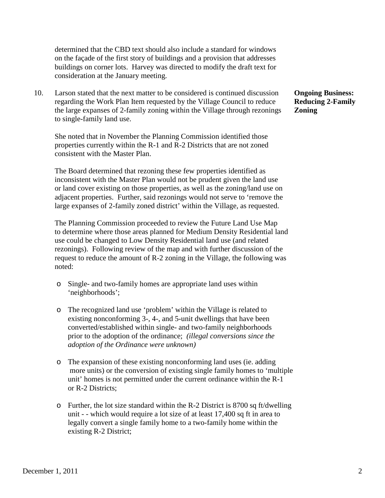determined that the CBD text should also include a standard for windows on the façade of the first story of buildings and a provision that addresses buildings on corner lots. Harvey was directed to modify the draft text for consideration at the January meeting.

10. Larson stated that the next matter to be considered is continued discussion **Ongoing Business:** regarding the Work Plan Item requested by the Village Council to reduce **Reducing 2-Family**  the large expanses of 2-family zoning within the Village through rezonings **Zoning** to single-family land use.

 She noted that in November the Planning Commission identified those properties currently within the R-1 and R-2 Districts that are not zoned consistent with the Master Plan.

 The Board determined that rezoning these few properties identified as inconsistent with the Master Plan would not be prudent given the land use or land cover existing on those properties, as well as the zoning/land use on adjacent properties. Further, said rezonings would not serve to 'remove the large expanses of 2-family zoned district' within the Village, as requested.

 The Planning Commission proceeded to review the Future Land Use Map to determine where those areas planned for Medium Density Residential land use could be changed to Low Density Residential land use (and related rezonings). Following review of the map and with further discussion of the request to reduce the amount of R-2 zoning in the Village, the following was noted:

- o Single- and two-family homes are appropriate land uses within 'neighborhoods';
- o The recognized land use 'problem' within the Village is related to existing nonconforming 3-, 4-, and 5-unit dwellings that have been converted/established within single- and two-family neighborhoods prior to the adoption of the ordinance; *(illegal conversions since the adoption of the Ordinance were unknown)*
- o The expansion of these existing nonconforming land uses (ie. adding more units) or the conversion of existing single family homes to 'multiple unit' homes is not permitted under the current ordinance within the R-1 or R-2 Districts;
- o Further, the lot size standard within the R-2 District is 8700 sq ft/dwelling unit - - which would require a lot size of at least 17,400 sq ft in area to legally convert a single family home to a two-family home within the existing R-2 District;